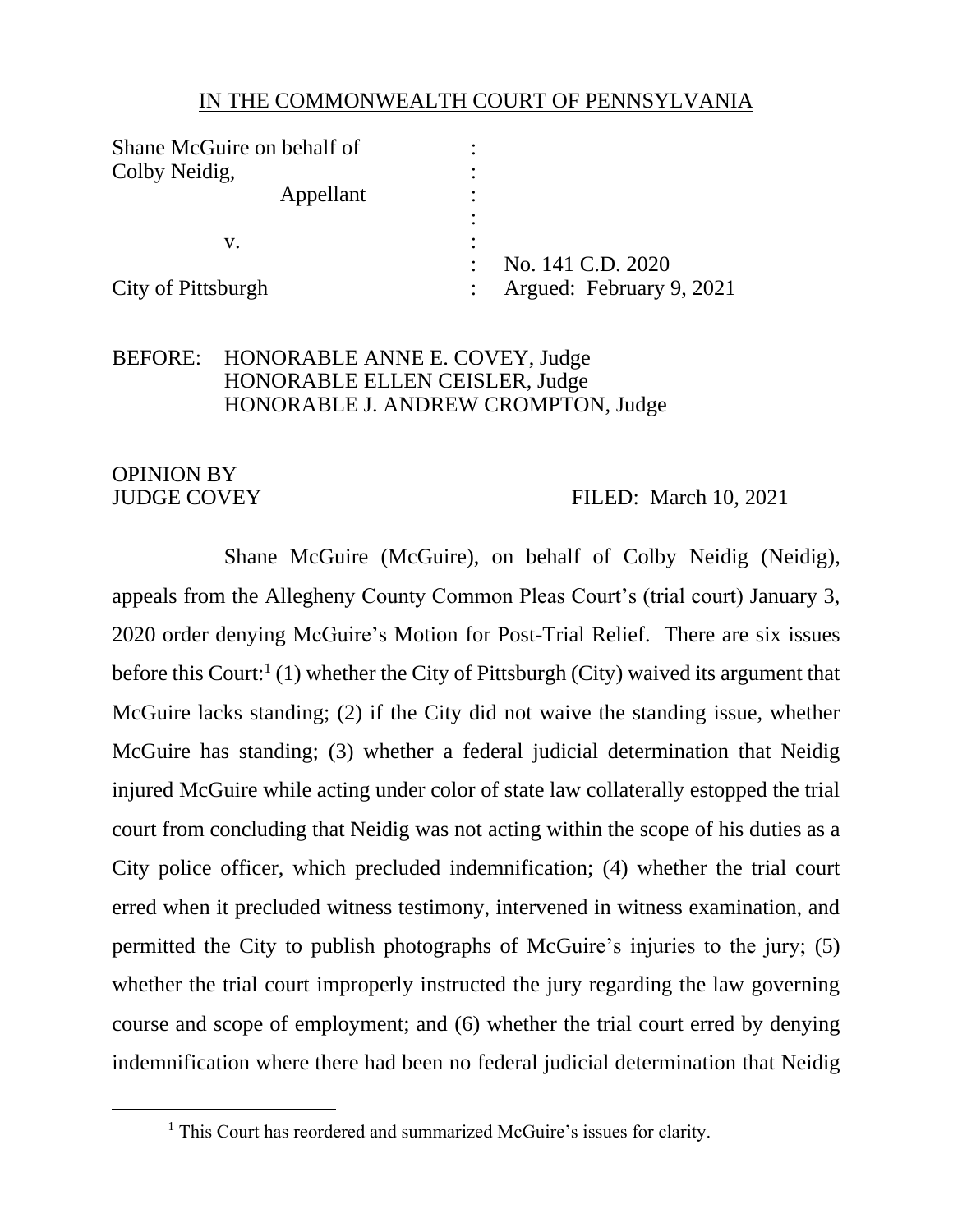## IN THE COMMONWEALTH COURT OF PENNSYLVANIA

| Shane McGuire on behalf of |                          |
|----------------------------|--------------------------|
| Colby Neidig,              |                          |
| Appellant                  | ٠                        |
|                            |                          |
| V.                         |                          |
|                            | No. 141 C.D. 2020        |
| City of Pittsburgh         | Argued: February 9, 2021 |

## BEFORE: HONORABLE ANNE E. COVEY, Judge HONORABLE ELLEN CEISLER, Judge HONORABLE J. ANDREW CROMPTON, Judge

# OPINION BY

## JUDGE COVEY FILED: March 10, 2021

Shane McGuire (McGuire), on behalf of Colby Neidig (Neidig), appeals from the Allegheny County Common Pleas Court's (trial court) January 3, 2020 order denying McGuire's Motion for Post-Trial Relief. There are six issues before this Court:<sup>1</sup> (1) whether the City of Pittsburgh (City) waived its argument that McGuire lacks standing; (2) if the City did not waive the standing issue, whether McGuire has standing; (3) whether a federal judicial determination that Neidig injured McGuire while acting under color of state law collaterally estopped the trial court from concluding that Neidig was not acting within the scope of his duties as a City police officer, which precluded indemnification; (4) whether the trial court erred when it precluded witness testimony, intervened in witness examination, and permitted the City to publish photographs of McGuire's injuries to the jury; (5) whether the trial court improperly instructed the jury regarding the law governing course and scope of employment; and (6) whether the trial court erred by denying indemnification where there had been no federal judicial determination that Neidig

<sup>&</sup>lt;sup>1</sup> This Court has reordered and summarized McGuire's issues for clarity.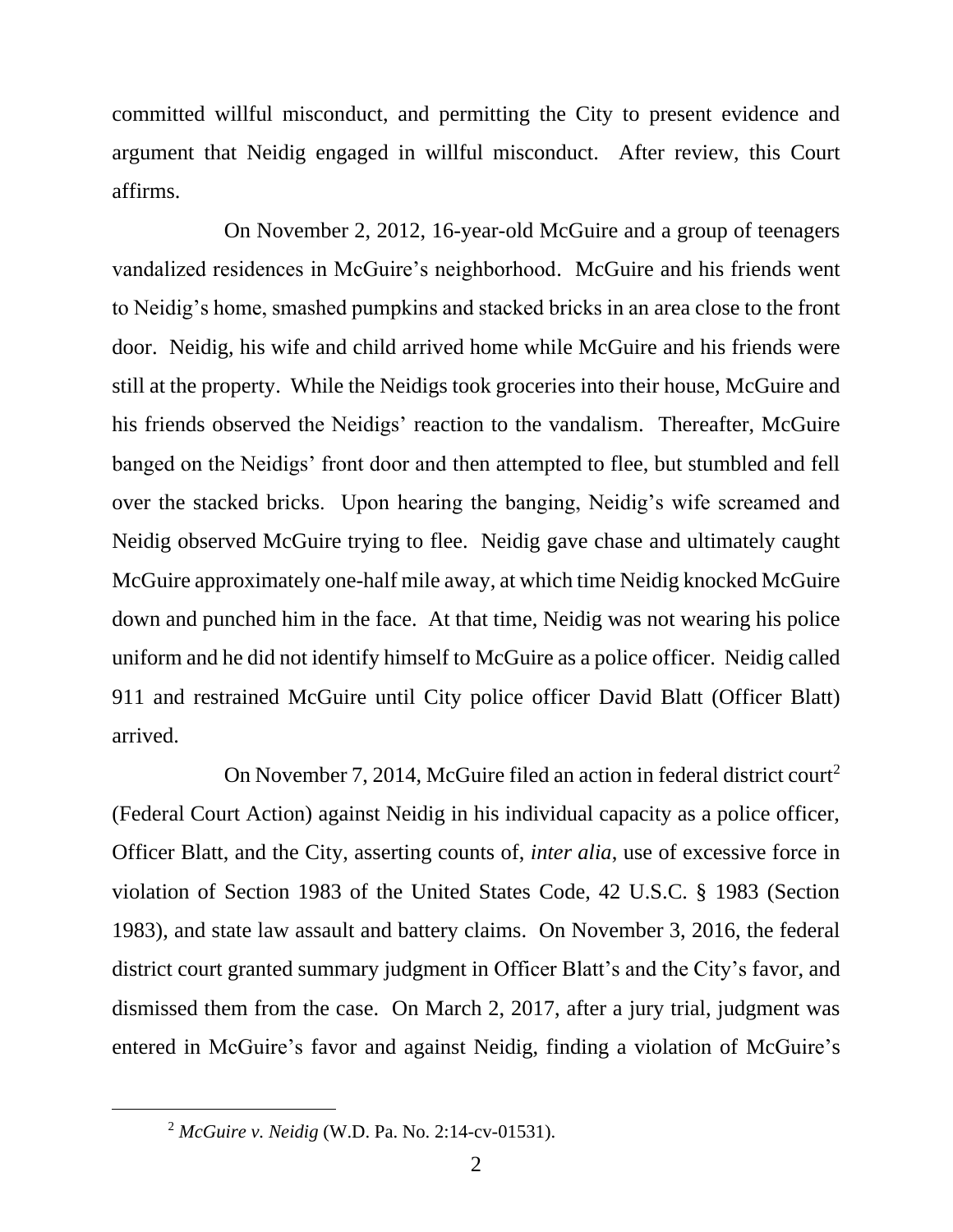committed willful misconduct, and permitting the City to present evidence and argument that Neidig engaged in willful misconduct. After review, this Court affirms.

On November 2, 2012, 16-year-old McGuire and a group of teenagers vandalized residences in McGuire's neighborhood. McGuire and his friends went to Neidig's home, smashed pumpkins and stacked bricks in an area close to the front door. Neidig, his wife and child arrived home while McGuire and his friends were still at the property. While the Neidigs took groceries into their house, McGuire and his friends observed the Neidigs' reaction to the vandalism. Thereafter, McGuire banged on the Neidigs' front door and then attempted to flee, but stumbled and fell over the stacked bricks. Upon hearing the banging, Neidig's wife screamed and Neidig observed McGuire trying to flee. Neidig gave chase and ultimately caught McGuire approximately one-half mile away, at which time Neidig knocked McGuire down and punched him in the face. At that time, Neidig was not wearing his police uniform and he did not identify himself to McGuire as a police officer. Neidig called 911 and restrained McGuire until City police officer David Blatt (Officer Blatt) arrived.

On November 7, 2014, McGuire filed an action in federal district court<sup>2</sup> (Federal Court Action) against Neidig in his individual capacity as a police officer, Officer Blatt, and the City, asserting counts of, *inter alia*, use of excessive force in violation of Section 1983 of the United States Code, 42 U.S.C. § 1983 (Section 1983), and state law assault and battery claims. On November 3, 2016, the federal district court granted summary judgment in Officer Blatt's and the City's favor, and dismissed them from the case. On March 2, 2017, after a jury trial, judgment was entered in McGuire's favor and against Neidig, finding a violation of McGuire's

<sup>2</sup> *McGuire v. Neidig* (W.D. Pa. No. 2:14-cv-01531).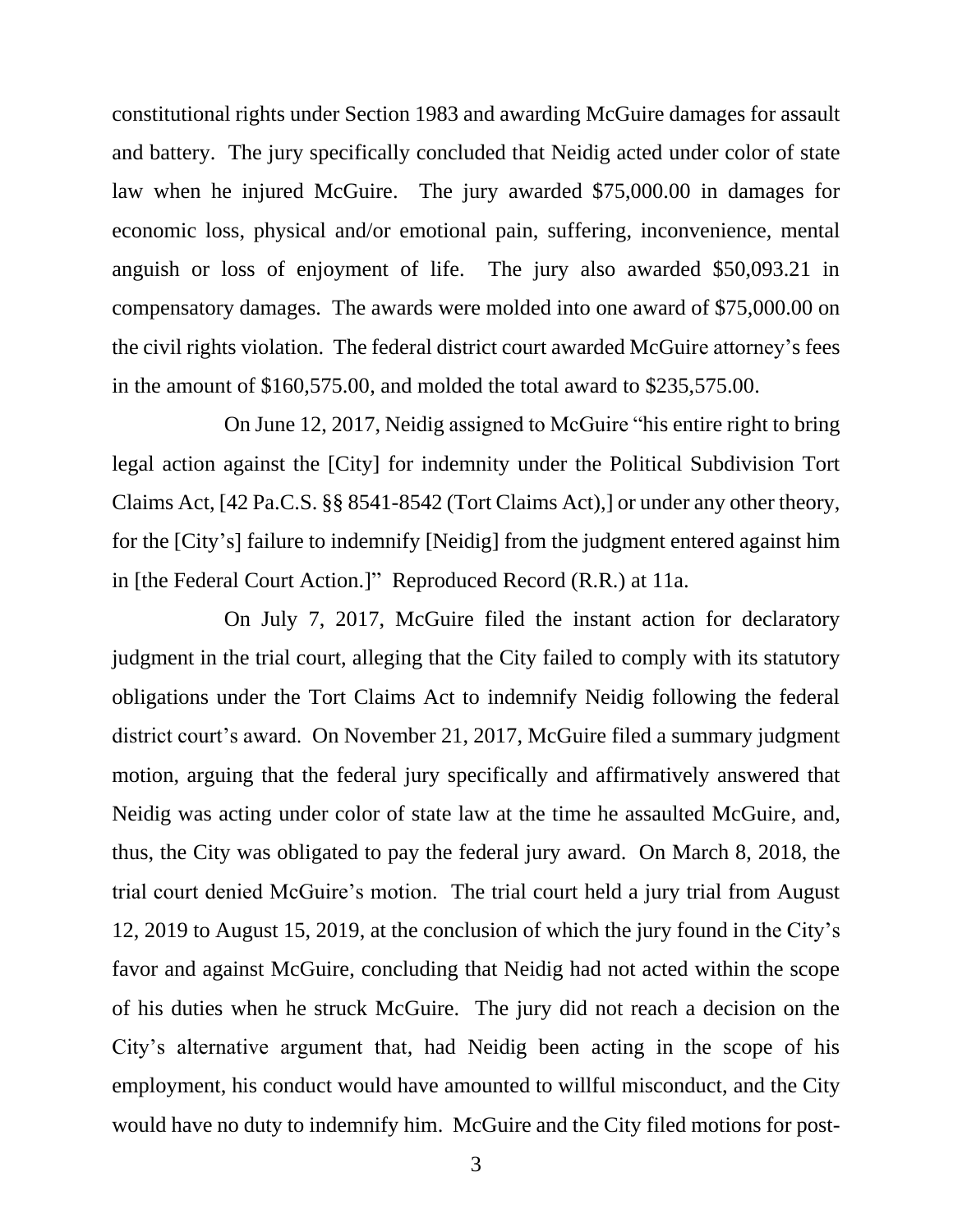constitutional rights under Section 1983 and awarding McGuire damages for assault and battery. The jury specifically concluded that Neidig acted under color of state law when he injured McGuire. The jury awarded \$75,000.00 in damages for economic loss, physical and/or emotional pain, suffering, inconvenience, mental anguish or loss of enjoyment of life. The jury also awarded \$50,093.21 in compensatory damages. The awards were molded into one award of \$75,000.00 on the civil rights violation. The federal district court awarded McGuire attorney's fees in the amount of \$160,575.00, and molded the total award to \$235,575.00.

On June 12, 2017, Neidig assigned to McGuire "his entire right to bring legal action against the [City] for indemnity under the Political Subdivision Tort Claims Act, [42 Pa.C.S. §§ 8541-8542 (Tort Claims Act),] or under any other theory, for the [City's] failure to indemnify [Neidig] from the judgment entered against him in [the Federal Court Action.]" Reproduced Record (R.R.) at 11a.

On July 7, 2017, McGuire filed the instant action for declaratory judgment in the trial court, alleging that the City failed to comply with its statutory obligations under the Tort Claims Act to indemnify Neidig following the federal district court's award. On November 21, 2017, McGuire filed a summary judgment motion, arguing that the federal jury specifically and affirmatively answered that Neidig was acting under color of state law at the time he assaulted McGuire, and, thus, the City was obligated to pay the federal jury award. On March 8, 2018, the trial court denied McGuire's motion. The trial court held a jury trial from August 12, 2019 to August 15, 2019, at the conclusion of which the jury found in the City's favor and against McGuire, concluding that Neidig had not acted within the scope of his duties when he struck McGuire. The jury did not reach a decision on the City's alternative argument that, had Neidig been acting in the scope of his employment, his conduct would have amounted to willful misconduct, and the City would have no duty to indemnify him. McGuire and the City filed motions for post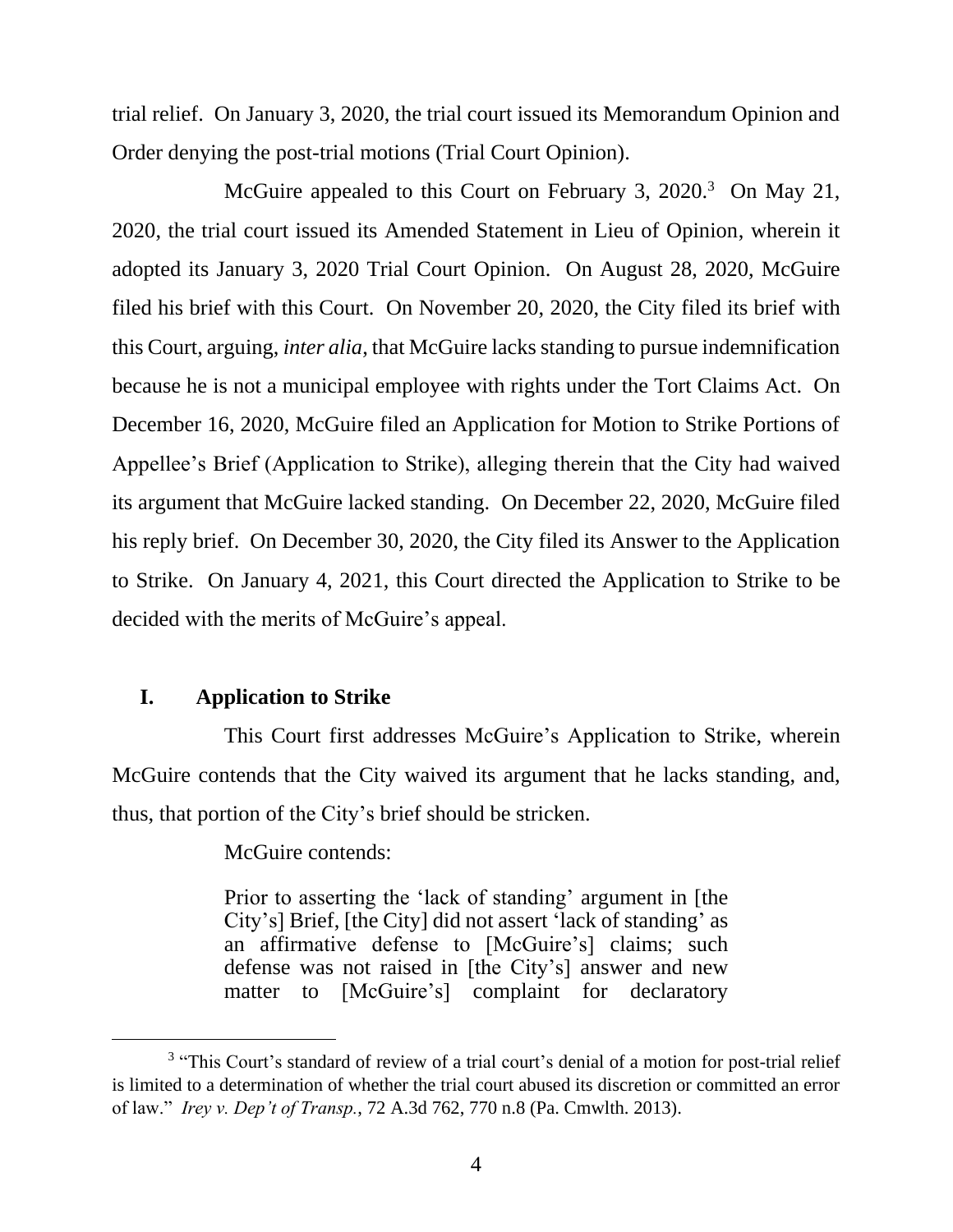trial relief. On January 3, 2020, the trial court issued its Memorandum Opinion and Order denying the post-trial motions (Trial Court Opinion).

McGuire appealed to this Court on February 3, 2020.<sup>3</sup> On May 21, 2020, the trial court issued its Amended Statement in Lieu of Opinion, wherein it adopted its January 3, 2020 Trial Court Opinion. On August 28, 2020, McGuire filed his brief with this Court. On November 20, 2020, the City filed its brief with this Court, arguing, *inter alia*, that McGuire lacks standing to pursue indemnification because he is not a municipal employee with rights under the Tort Claims Act. On December 16, 2020, McGuire filed an Application for Motion to Strike Portions of Appellee's Brief (Application to Strike), alleging therein that the City had waived its argument that McGuire lacked standing. On December 22, 2020, McGuire filed his reply brief. On December 30, 2020, the City filed its Answer to the Application to Strike. On January 4, 2021, this Court directed the Application to Strike to be decided with the merits of McGuire's appeal.

## **I. Application to Strike**

This Court first addresses McGuire's Application to Strike, wherein McGuire contends that the City waived its argument that he lacks standing, and, thus, that portion of the City's brief should be stricken.

McGuire contends:

Prior to asserting the 'lack of standing' argument in [the City's] Brief, [the City] did not assert 'lack of standing' as an affirmative defense to [McGuire's] claims; such defense was not raised in [the City's] answer and new matter to [McGuire's] complaint for declaratory

<sup>&</sup>lt;sup>3</sup> "This Court's standard of review of a trial court's denial of a motion for post-trial relief is limited to a determination of whether the trial court abused its discretion or committed an error of law." *Irey v. Dep't of Transp.*, 72 A.3d 762, 770 n.8 (Pa. Cmwlth. 2013).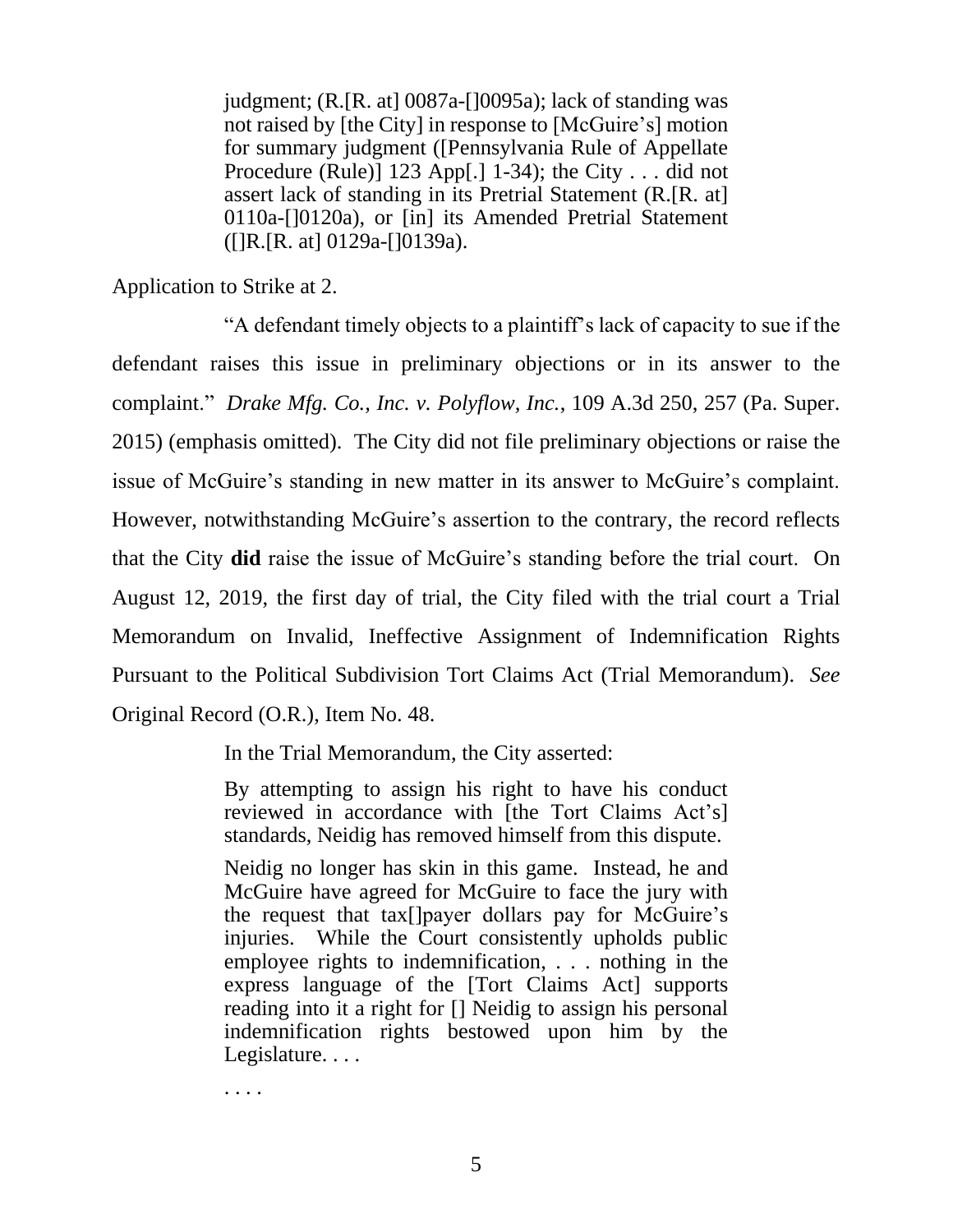judgment; (R.[R. at] 0087a-[]0095a); lack of standing was not raised by [the City] in response to [McGuire's] motion for summary judgment ([Pennsylvania Rule of Appellate Procedure (Rule)]  $123$  App[.]  $1-34$ ); the City . . . did not assert lack of standing in its Pretrial Statement (R.[R. at] 0110a-[]0120a), or [in] its Amended Pretrial Statement ([]R.[R. at] 0129a-[]0139a).

Application to Strike at 2.

"A defendant timely objects to a plaintiff's lack of capacity to sue if the defendant raises this issue in preliminary objections or in its answer to the complaint." *Drake Mfg. Co., Inc. v. Polyflow, Inc.*, 109 A.3d 250, 257 (Pa. Super. 2015) (emphasis omitted). The City did not file preliminary objections or raise the issue of McGuire's standing in new matter in its answer to McGuire's complaint. However, notwithstanding McGuire's assertion to the contrary, the record reflects that the City **did** raise the issue of McGuire's standing before the trial court. On August 12, 2019, the first day of trial, the City filed with the trial court a Trial Memorandum on Invalid, Ineffective Assignment of Indemnification Rights Pursuant to the Political Subdivision Tort Claims Act (Trial Memorandum). *See* Original Record (O.R.), Item No. 48.

In the Trial Memorandum, the City asserted:

By attempting to assign his right to have his conduct reviewed in accordance with [the Tort Claims Act's] standards, Neidig has removed himself from this dispute.

Neidig no longer has skin in this game. Instead, he and McGuire have agreed for McGuire to face the jury with the request that tax[]payer dollars pay for McGuire's injuries. While the Court consistently upholds public employee rights to indemnification, . . . nothing in the express language of the [Tort Claims Act] supports reading into it a right for [] Neidig to assign his personal indemnification rights bestowed upon him by the Legislature....

. . . .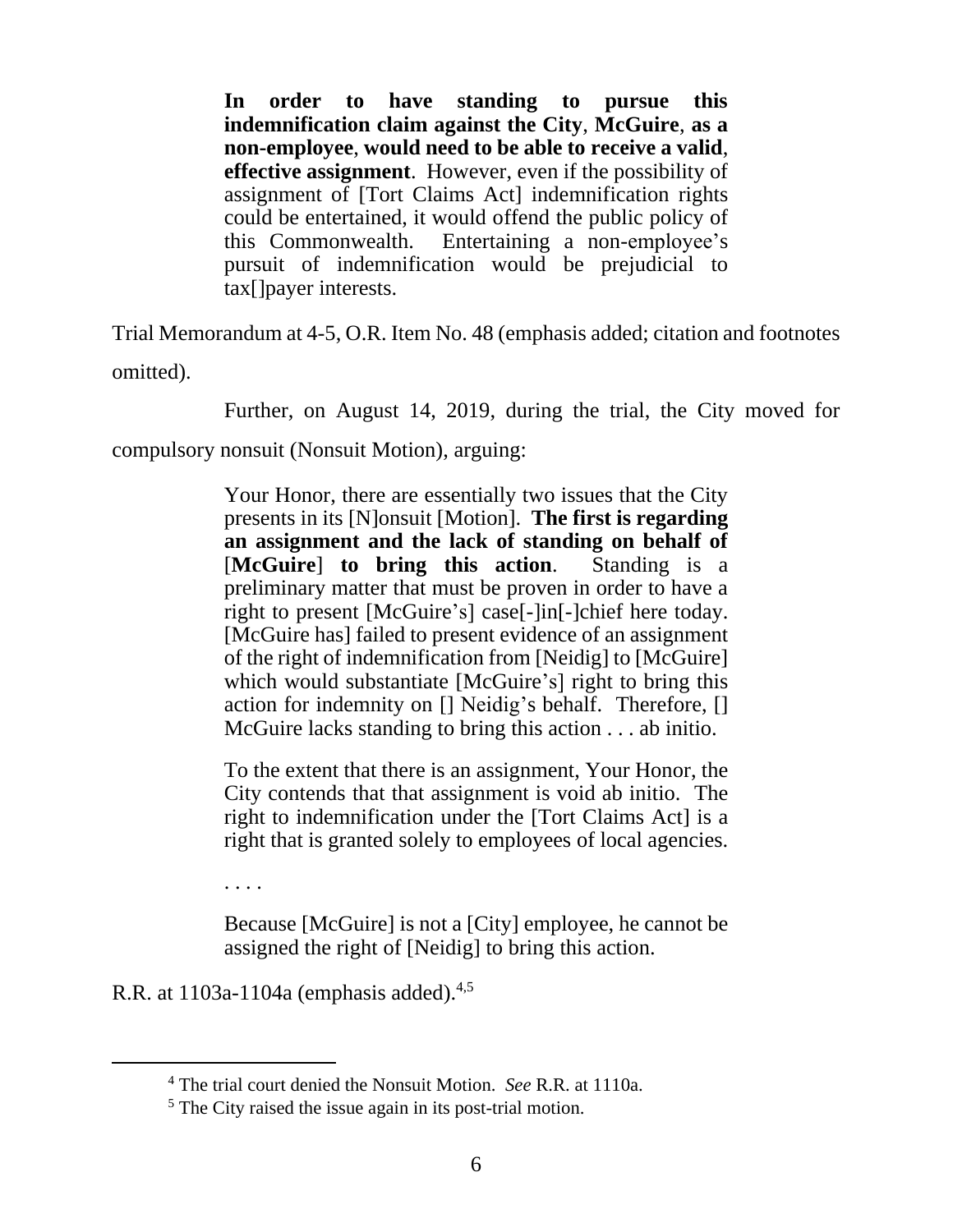**In order to have standing to pursue this indemnification claim against the City**, **McGuire**, **as a non-employee**, **would need to be able to receive a valid**, **effective assignment**. However, even if the possibility of assignment of [Tort Claims Act] indemnification rights could be entertained, it would offend the public policy of this Commonwealth. Entertaining a non-employee's pursuit of indemnification would be prejudicial to tax[]payer interests.

Trial Memorandum at 4-5, O.R. Item No. 48 (emphasis added; citation and footnotes omitted).

Further, on August 14, 2019, during the trial, the City moved for

compulsory nonsuit (Nonsuit Motion), arguing:

Your Honor, there are essentially two issues that the City presents in its [N]onsuit [Motion]. **The first is regarding an assignment and the lack of standing on behalf of**  [**McGuire**] **to bring this action**. Standing is a preliminary matter that must be proven in order to have a right to present [McGuire's] case[-]in[-]chief here today. [McGuire has] failed to present evidence of an assignment of the right of indemnification from [Neidig] to [McGuire] which would substantiate [McGuire's] right to bring this action for indemnity on [] Neidig's behalf. Therefore, [] McGuire lacks standing to bring this action . . . ab initio.

To the extent that there is an assignment, Your Honor, the City contends that that assignment is void ab initio. The right to indemnification under the [Tort Claims Act] is a right that is granted solely to employees of local agencies.

. . . .

Because [McGuire] is not a [City] employee, he cannot be assigned the right of [Neidig] to bring this action.

R.R. at 1103a-1104a (emphasis added).<sup>4,5</sup>

<sup>4</sup> The trial court denied the Nonsuit Motion. *See* R.R. at 1110a.

<sup>&</sup>lt;sup>5</sup> The City raised the issue again in its post-trial motion.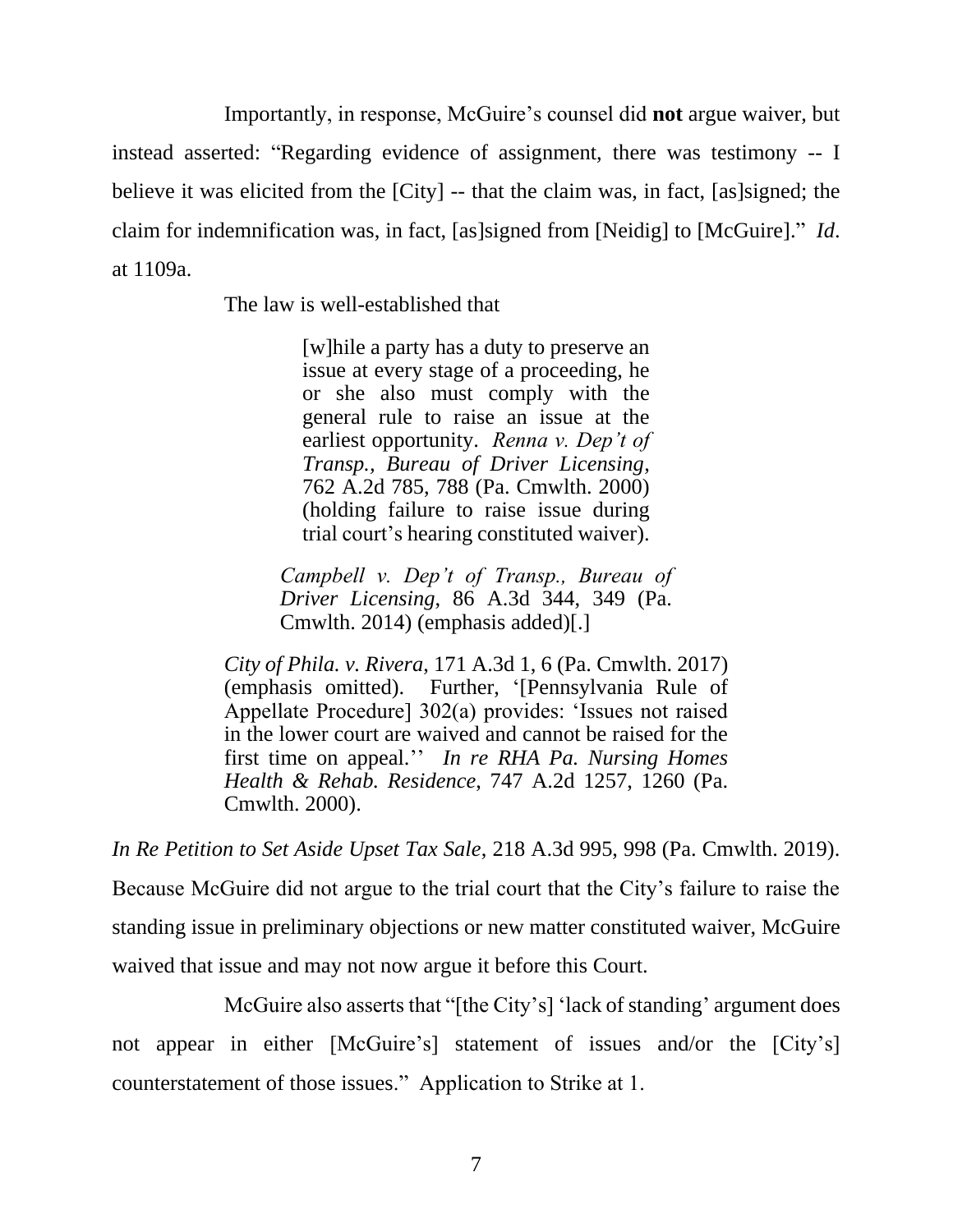Importantly, in response, McGuire's counsel did **not** argue waiver, but instead asserted: "Regarding evidence of assignment, there was testimony -- I believe it was elicited from the [City] -- that the claim was, in fact, [as]signed; the claim for indemnification was, in fact, [as]signed from [Neidig] to [McGuire]." *Id*. at 1109a.

The law is well-established that

[w]hile a party has a duty to preserve an issue at every stage of a proceeding, he or she also must comply with the general rule to raise an issue at the earliest opportunity. *Renna v. Dep't of Transp., Bureau of Driver Licensing*, 762 A.2d 785, 788 (Pa. Cmwlth. 2000) (holding failure to raise issue during trial court's hearing constituted waiver).

*Campbell v. Dep't of Transp., Bureau of Driver Licensing*, 86 A.3d 344, 349 (Pa. Cmwlth. 2014) (emphasis added)[.]

*City of Phila. v. Rivera*, 171 A.3d 1, 6 (Pa. Cmwlth. 2017) (emphasis omitted). Further, '[Pennsylvania Rule of Appellate Procedure] 302(a) provides: 'Issues not raised in the lower court are waived and cannot be raised for the first time on appeal.'' *In re RHA Pa. Nursing Homes Health & Rehab. Residence*, 747 A.2d 1257, 1260 (Pa. Cmwlth. 2000).

*In Re Petition to Set Aside Upset Tax Sale*, 218 A.3d 995, 998 (Pa. Cmwlth. 2019). Because McGuire did not argue to the trial court that the City's failure to raise the standing issue in preliminary objections or new matter constituted waiver, McGuire waived that issue and may not now argue it before this Court.

McGuire also asserts that "[the City's] 'lack of standing' argument does not appear in either [McGuire's] statement of issues and/or the [City's] counterstatement of those issues." Application to Strike at 1.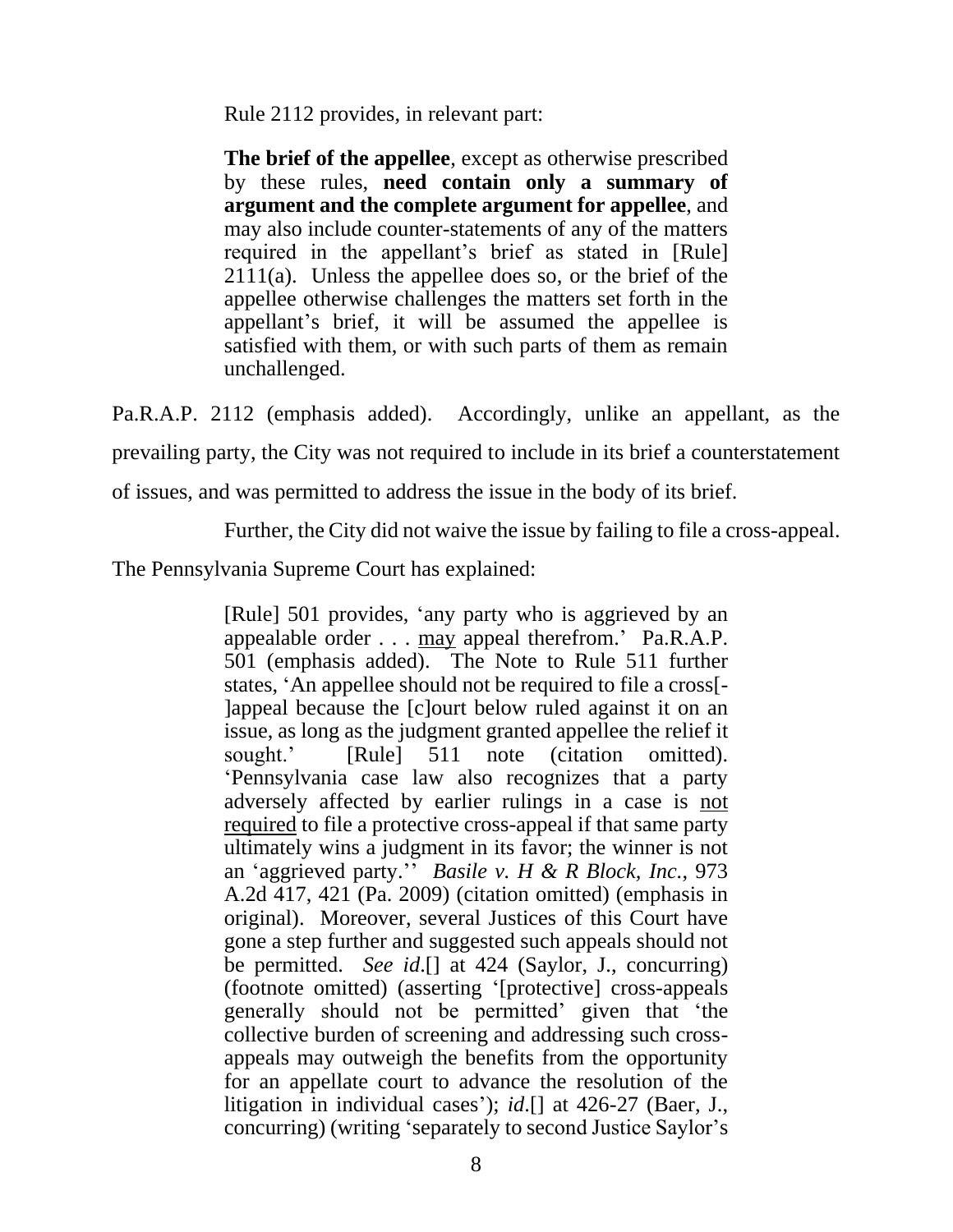Rule 2112 provides, in relevant part:

**The brief of the appellee**, except as otherwise prescribed by these rules, **need contain only a summary of argument and the complete argument for appellee**, and may also include counter-statements of any of the matters required in the appellant's brief as stated in [Rule] 2111(a). Unless the appellee does so, or the brief of the appellee otherwise challenges the matters set forth in the appellant's brief, it will be assumed the appellee is satisfied with them, or with such parts of them as remain unchallenged.

Pa.R.A.P. 2112 (emphasis added). Accordingly, unlike an appellant, as the prevailing party, the City was not required to include in its brief a counterstatement of issues, and was permitted to address the issue in the body of its brief.

Further, the City did not waive the issue by failing to file a cross-appeal.

The Pennsylvania Supreme Court has explained:

[Rule] 501 provides, 'any party who is aggrieved by an appealable order . . . may appeal therefrom.' Pa.R.A.P. 501 (emphasis added). The Note to Rule 511 further states, 'An appellee should not be required to file a cross[- ]appeal because the [c]ourt below ruled against it on an issue, as long as the judgment granted appellee the relief it sought.' [Rule] 511 note (citation omitted). 'Pennsylvania case law also recognizes that a party adversely affected by earlier rulings in a case is not required to file a protective cross-appeal if that same party ultimately wins a judgment in its favor; the winner is not an 'aggrieved party.'' *Basile v. H & R Block, Inc.*, 973 A.2d 417, 421 (Pa. 2009) (citation omitted) (emphasis in original). Moreover, several Justices of this Court have gone a step further and suggested such appeals should not be permitted. *See id*.[] at 424 (Saylor, J., concurring) (footnote omitted) (asserting '[protective] cross-appeals generally should not be permitted' given that 'the collective burden of screening and addressing such crossappeals may outweigh the benefits from the opportunity for an appellate court to advance the resolution of the litigation in individual cases'); *id*.[] at 426-27 (Baer, J., concurring) (writing 'separately to second Justice Saylor's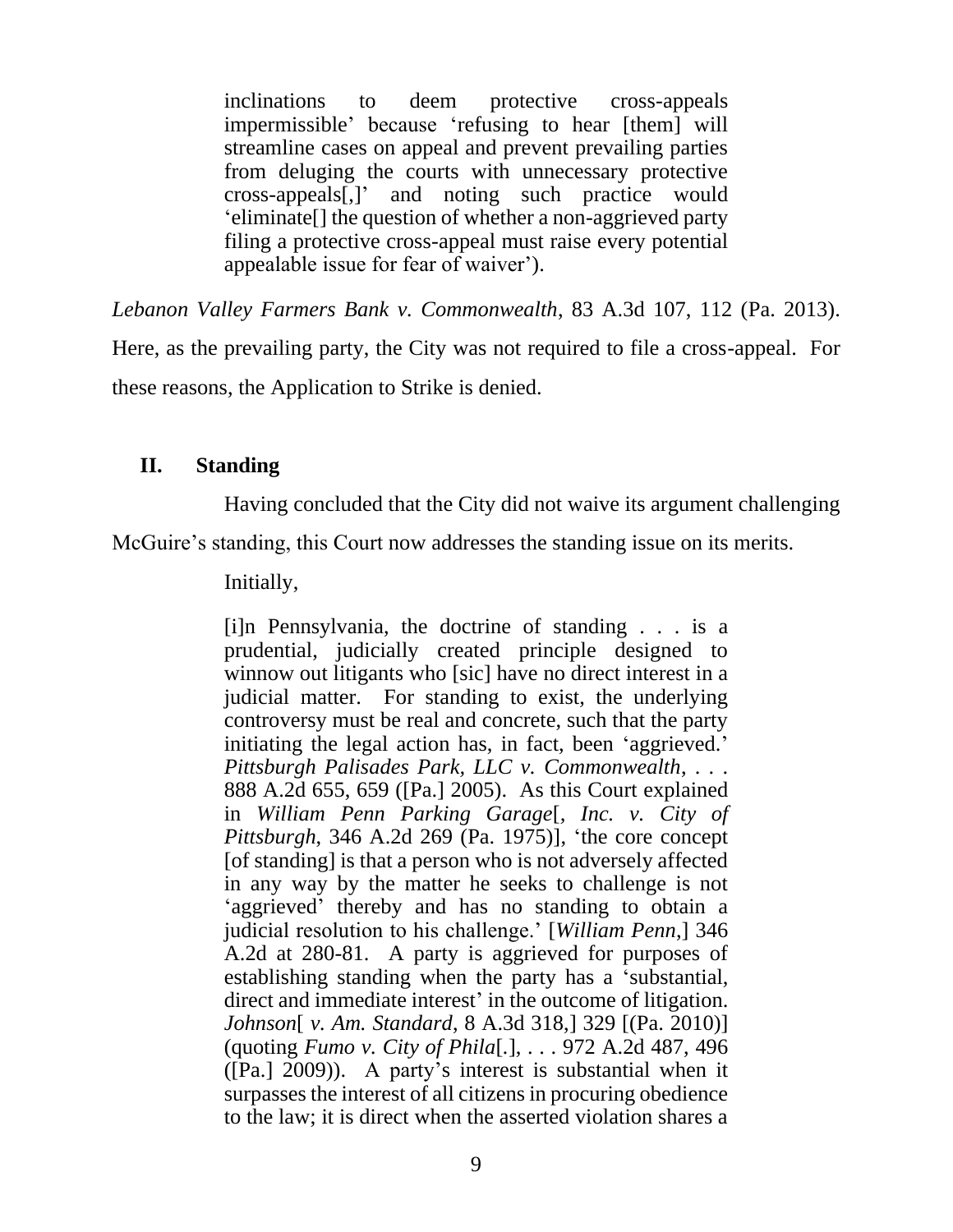inclinations to deem protective cross-appeals impermissible' because 'refusing to hear [them] will streamline cases on appeal and prevent prevailing parties from deluging the courts with unnecessary protective cross-appeals[,]' and noting such practice would 'eliminate[] the question of whether a non-aggrieved party filing a protective cross-appeal must raise every potential appealable issue for fear of waiver').

*Lebanon Valley Farmers Bank v. Commonwealth*, 83 A.3d 107, 112 (Pa. 2013). Here, as the prevailing party, the City was not required to file a cross-appeal. For these reasons, the Application to Strike is denied.

# **II. Standing**

Having concluded that the City did not waive its argument challenging

McGuire's standing, this Court now addresses the standing issue on its merits.

Initially,

[i]n Pennsylvania, the doctrine of standing . . . is a prudential, judicially created principle designed to winnow out litigants who [sic] have no direct interest in a judicial matter. For standing to exist, the underlying controversy must be real and concrete, such that the party initiating the legal action has, in fact, been 'aggrieved.' *Pittsburgh Palisades Park, LLC v. Commonwealth*, . . . 888 A.2d 655, 659 ([Pa.] 2005). As this Court explained in *William Penn Parking Garage*[*, Inc. v. City of Pittsburgh*, 346 A.2d 269 (Pa. 1975)], 'the core concept [of standing] is that a person who is not adversely affected in any way by the matter he seeks to challenge is not 'aggrieved' thereby and has no standing to obtain a judicial resolution to his challenge.' [*William Penn*,] 346 A.2d at 280-81. A party is aggrieved for purposes of establishing standing when the party has a 'substantial, direct and immediate interest' in the outcome of litigation. *Johnson*[ *v. Am. Standard*, 8 A.3d 318,] 329 [(Pa. 2010)] (quoting *Fumo v. City of Phila*[*.*], . . . 972 A.2d 487, 496 ([Pa.] 2009)). A party's interest is substantial when it surpasses the interest of all citizens in procuring obedience to the law; it is direct when the asserted violation shares a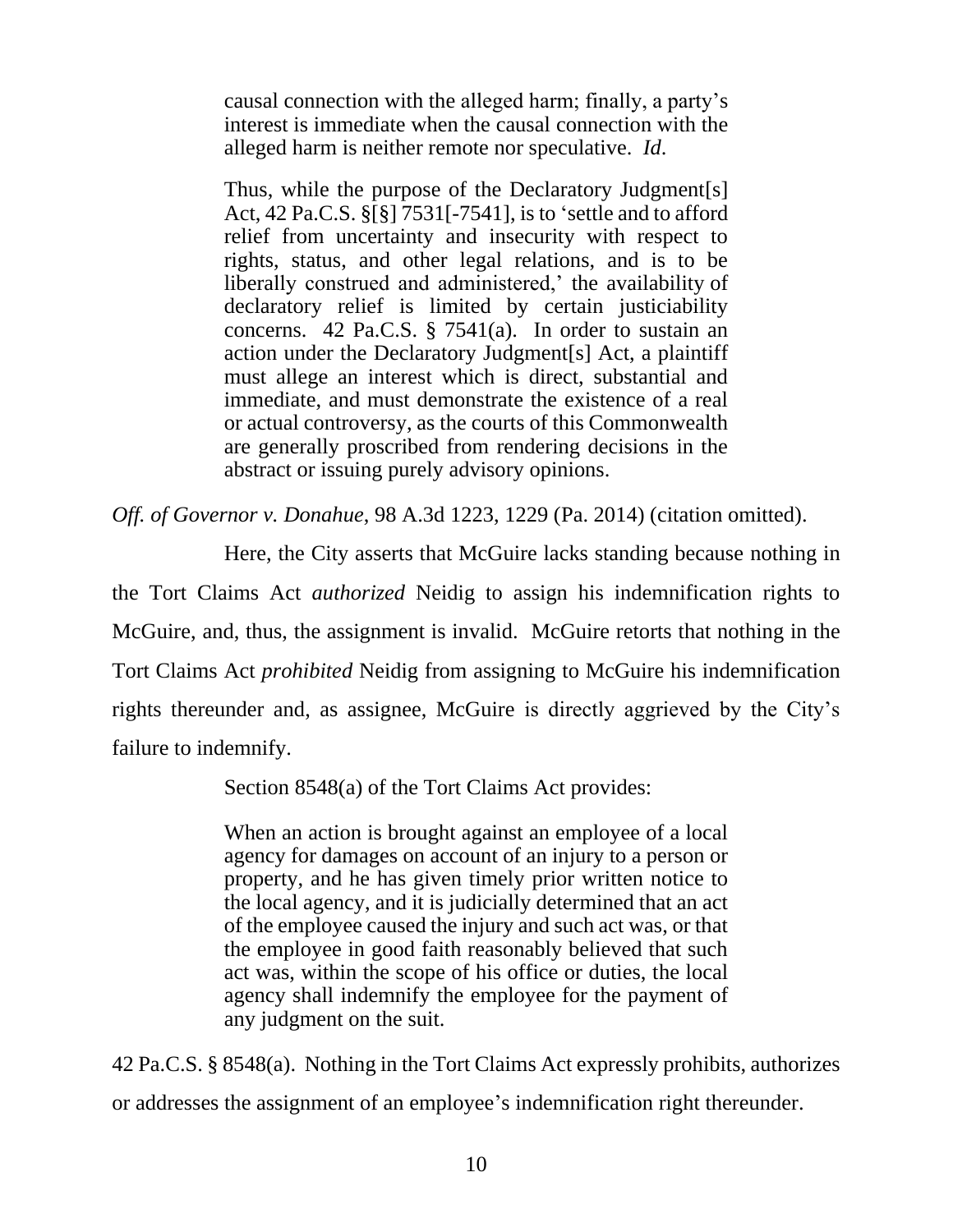causal connection with the alleged harm; finally, a party's interest is immediate when the causal connection with the alleged harm is neither remote nor speculative. *Id*.

Thus, while the purpose of the Declaratory Judgment[s] Act, 42 Pa.C.S. §[§] 7531[-7541], is to 'settle and to afford relief from uncertainty and insecurity with respect to rights, status, and other legal relations, and is to be liberally construed and administered,' the availability of declaratory relief is limited by certain justiciability concerns. 42 Pa.C.S. § 7541(a). In order to sustain an action under the Declaratory Judgment[s] Act, a plaintiff must allege an interest which is direct, substantial and immediate, and must demonstrate the existence of a real or actual controversy, as the courts of this Commonwealth are generally proscribed from rendering decisions in the abstract or issuing purely advisory opinions.

*Off. of Governor v. Donahue*, 98 A.3d 1223, 1229 (Pa. 2014) (citation omitted).

Here, the City asserts that McGuire lacks standing because nothing in the Tort Claims Act *authorized* Neidig to assign his indemnification rights to McGuire, and, thus, the assignment is invalid. McGuire retorts that nothing in the Tort Claims Act *prohibited* Neidig from assigning to McGuire his indemnification rights thereunder and, as assignee, McGuire is directly aggrieved by the City's failure to indemnify.

Section 8548(a) of the Tort Claims Act provides:

When an action is brought against an employee of a local agency for damages on account of an injury to a person or property, and he has given timely prior written notice to the local agency, and it is judicially determined that an act of the employee caused the injury and such act was, or that the employee in good faith reasonably believed that such act was, within the scope of his office or duties, the local agency shall indemnify the employee for the payment of any judgment on the suit.

42 Pa.C.S. § 8548(a). Nothing in the Tort Claims Act expressly prohibits, authorizes or addresses the assignment of an employee's indemnification right thereunder.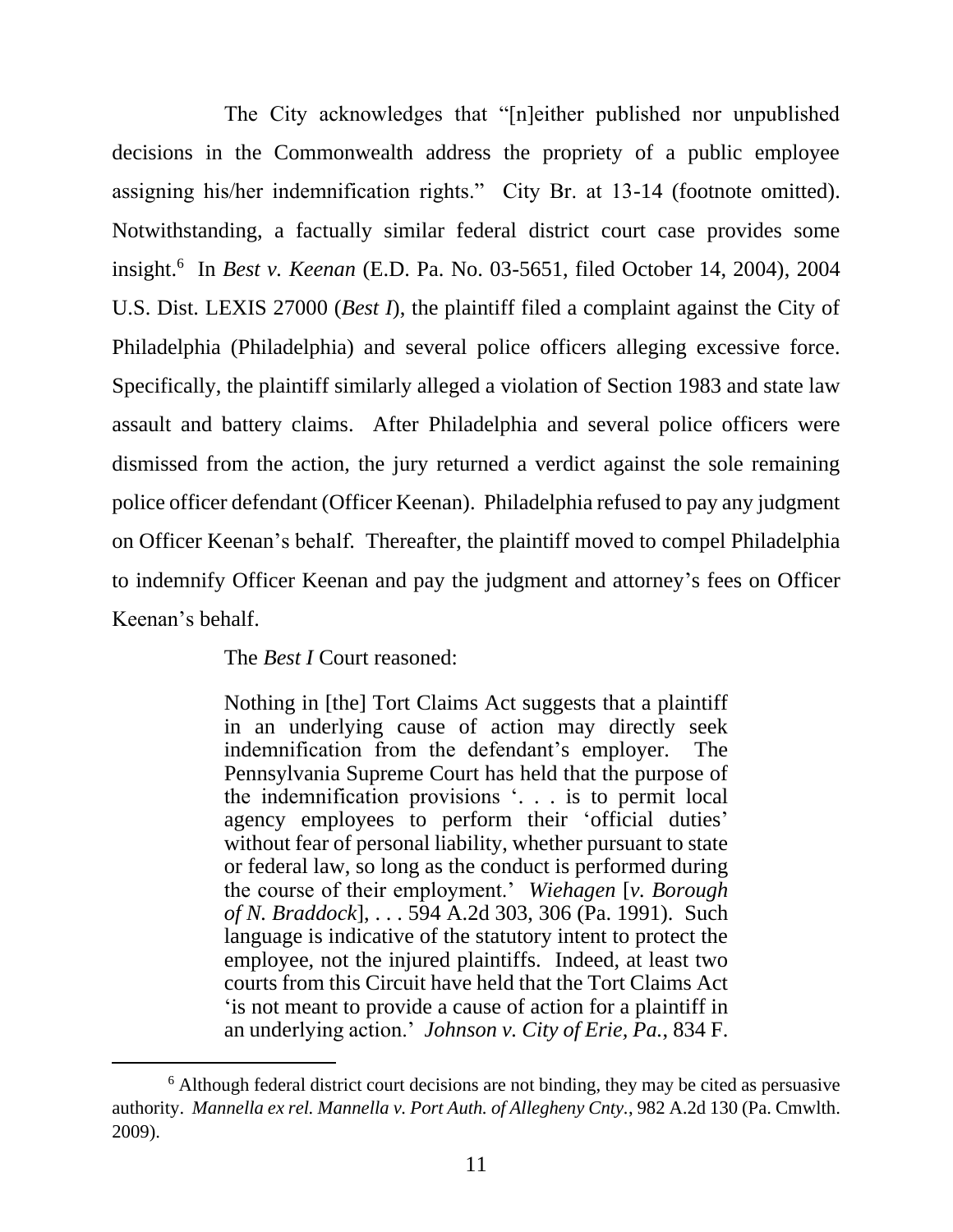The City acknowledges that "[n]either published nor unpublished decisions in the Commonwealth address the propriety of a public employee assigning his/her indemnification rights." City Br. at 13-14 (footnote omitted). Notwithstanding, a factually similar federal district court case provides some insight.<sup>6</sup> In *Best v. Keenan* (E.D. Pa. No. 03-5651, filed October 14, 2004), 2004 U.S. Dist. LEXIS 27000 (*Best I*), the plaintiff filed a complaint against the City of Philadelphia (Philadelphia) and several police officers alleging excessive force. Specifically, the plaintiff similarly alleged a violation of Section 1983 and state law assault and battery claims. After Philadelphia and several police officers were dismissed from the action, the jury returned a verdict against the sole remaining police officer defendant (Officer Keenan). Philadelphia refused to pay any judgment on Officer Keenan's behalf. Thereafter, the plaintiff moved to compel Philadelphia to indemnify Officer Keenan and pay the judgment and attorney's fees on Officer Keenan's behalf.

The *Best I* Court reasoned:

Nothing in [the] Tort Claims Act suggests that a plaintiff in an underlying cause of action may directly seek indemnification from the defendant's employer. The Pennsylvania Supreme Court has held that the purpose of the indemnification provisions '. . . is to permit local agency employees to perform their 'official duties' without fear of personal liability, whether pursuant to state or federal law, so long as the conduct is performed during the course of their employment.' *Wiehagen* [*v. Borough of N. Braddock*], . . . 594 A.2d 303, 306 (Pa. 1991). Such language is indicative of the statutory intent to protect the employee, not the injured plaintiffs. Indeed, at least two courts from this Circuit have held that the Tort Claims Act 'is not meant to provide a cause of action for a plaintiff in an underlying action.' *Johnson v. City of Erie, Pa.*, 834 F.

 $6$  Although federal district court decisions are not binding, they may be cited as persuasive authority. *Mannella ex rel. Mannella v. Port Auth. of Allegheny Cnty.*, 982 A.2d 130 (Pa. Cmwlth. 2009).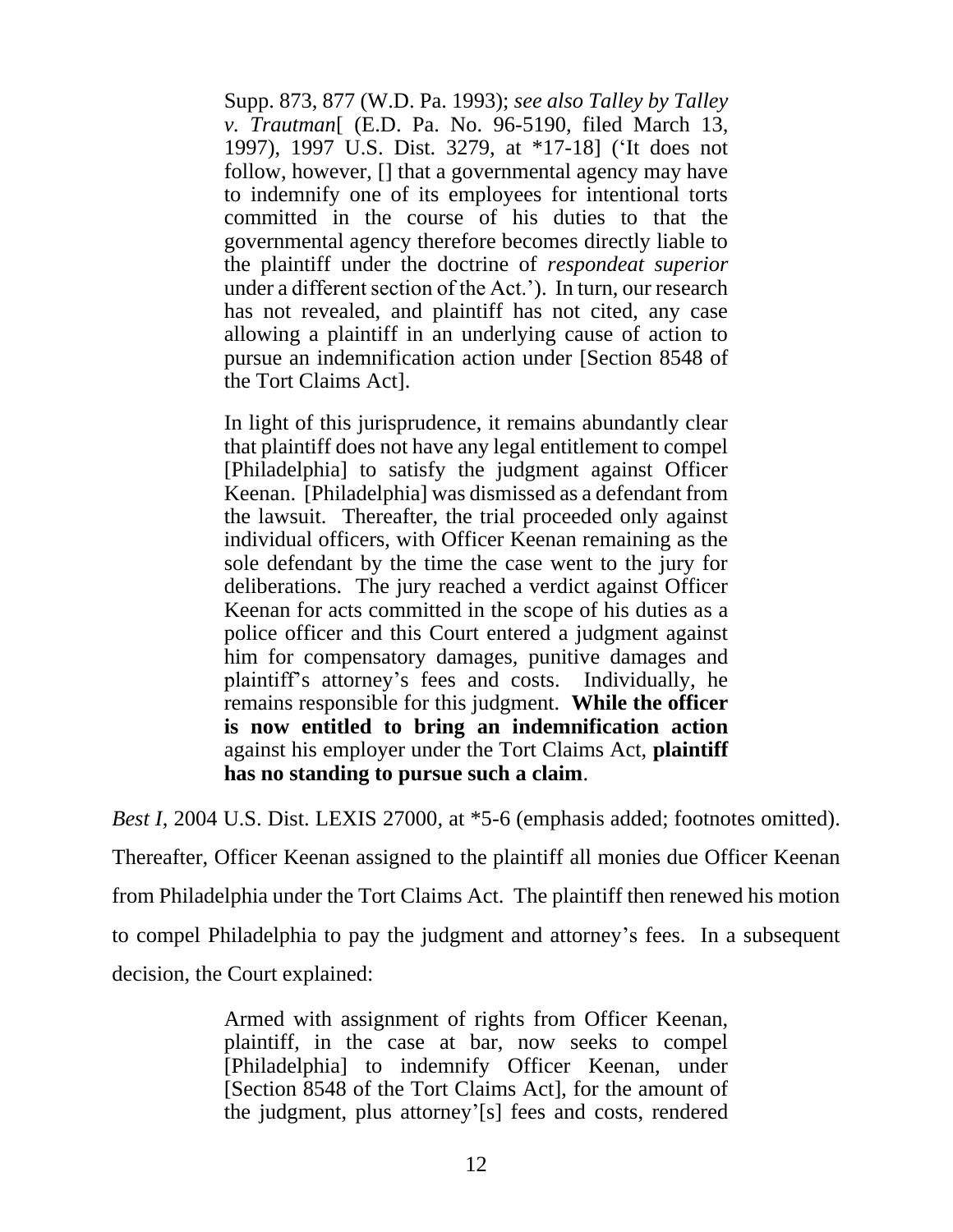Supp. 873, 877 (W.D. Pa. 1993); *see also Talley by Talley v. Trautman*[ (E.D. Pa. No. 96-5190, filed March 13, 1997), 1997 U.S. Dist. 3279, at \*17-18] ('It does not follow, however, [] that a governmental agency may have to indemnify one of its employees for intentional torts committed in the course of his duties to that the governmental agency therefore becomes directly liable to the plaintiff under the doctrine of *respondeat superior* under a different section of the Act.'). In turn, our research has not revealed, and plaintiff has not cited, any case allowing a plaintiff in an underlying cause of action to pursue an indemnification action under [Section 8548 of the Tort Claims Act].

In light of this jurisprudence, it remains abundantly clear that plaintiff does not have any legal entitlement to compel [Philadelphia] to satisfy the judgment against Officer Keenan. [Philadelphia] was dismissed as a defendant from the lawsuit. Thereafter, the trial proceeded only against individual officers, with Officer Keenan remaining as the sole defendant by the time the case went to the jury for deliberations. The jury reached a verdict against Officer Keenan for acts committed in the scope of his duties as a police officer and this Court entered a judgment against him for compensatory damages, punitive damages and plaintiff's attorney's fees and costs. Individually, he remains responsible for this judgment. **While the officer is now entitled to bring an indemnification action** against his employer under the Tort Claims Act, **plaintiff has no standing to pursue such a claim**.

*Best I*, 2004 U.S. Dist. LEXIS 27000, at  $*5-6$  (emphasis added; footnotes omitted).

Thereafter, Officer Keenan assigned to the plaintiff all monies due Officer Keenan from Philadelphia under the Tort Claims Act. The plaintiff then renewed his motion to compel Philadelphia to pay the judgment and attorney's fees. In a subsequent decision, the Court explained:

> Armed with assignment of rights from Officer Keenan, plaintiff, in the case at bar, now seeks to compel [Philadelphia] to indemnify Officer Keenan, under [Section 8548 of the Tort Claims Act], for the amount of the judgment, plus attorney'[s] fees and costs, rendered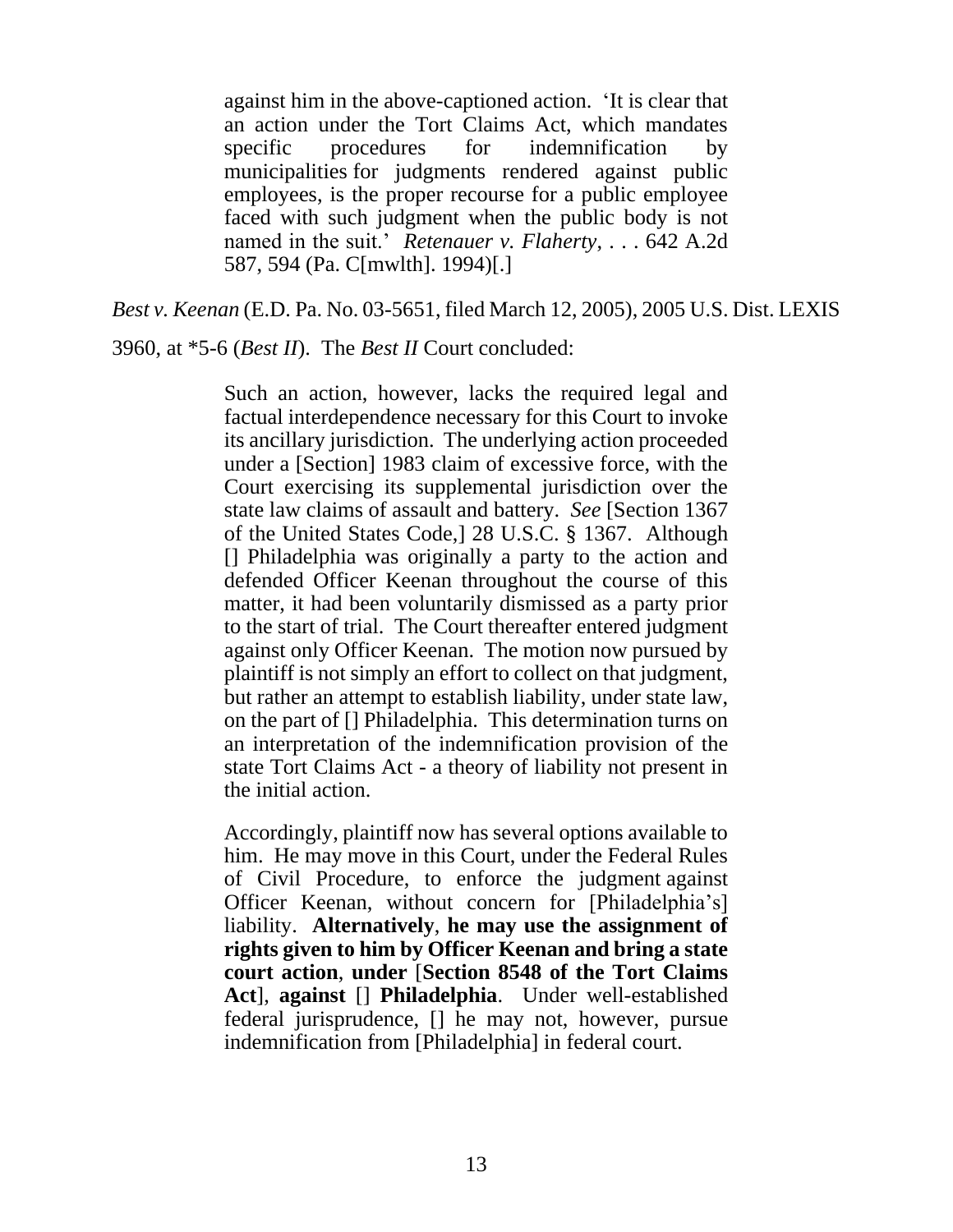against him in the above-captioned action. 'It is clear that an action under the Tort Claims Act, which mandates specific procedures for indemnification by municipalities for judgments rendered against public employees, is the proper recourse for a public employee faced with such judgment when the public body is not named in the suit.' *Retenauer v. Flaherty*, . . . 642 A.2d 587, 594 (Pa. C[mwlth]. 1994)[.]

*Best v. Keenan* (E.D. Pa. No. 03-5651, filed March 12, 2005), 2005 U.S. Dist. LEXIS

3960, at \*5-6 (*Best II*). The *Best II* Court concluded:

Such an action, however, lacks the required legal and factual interdependence necessary for this Court to invoke its ancillary jurisdiction. The underlying action proceeded under a [Section] 1983 claim of excessive force, with the Court exercising its supplemental jurisdiction over the state law claims of assault and battery. *See* [Section 1367 of the United States Code,] 28 U.S.C. § 1367. Although [] Philadelphia was originally a party to the action and defended Officer Keenan throughout the course of this matter, it had been voluntarily dismissed as a party prior to the start of trial. The Court thereafter entered judgment against only Officer Keenan. The motion now pursued by plaintiff is not simply an effort to collect on that judgment, but rather an attempt to establish liability, under state law, on the part of [] Philadelphia. This determination turns on an interpretation of the indemnification provision of the state Tort Claims Act - a theory of liability not present in the initial action.

Accordingly, plaintiff now has several options available to him. He may move in this Court, under the Federal Rules of Civil Procedure, to enforce the judgment against Officer Keenan, without concern for [Philadelphia's] liability. **Alternatively**, **he may use the assignment of rights given to him by Officer Keenan and bring a state court action**, **under** [**Section 8548 of the Tort Claims Act**], **against** [] **Philadelphia**. Under well-established federal jurisprudence, [] he may not, however, pursue indemnification from [Philadelphia] in federal court.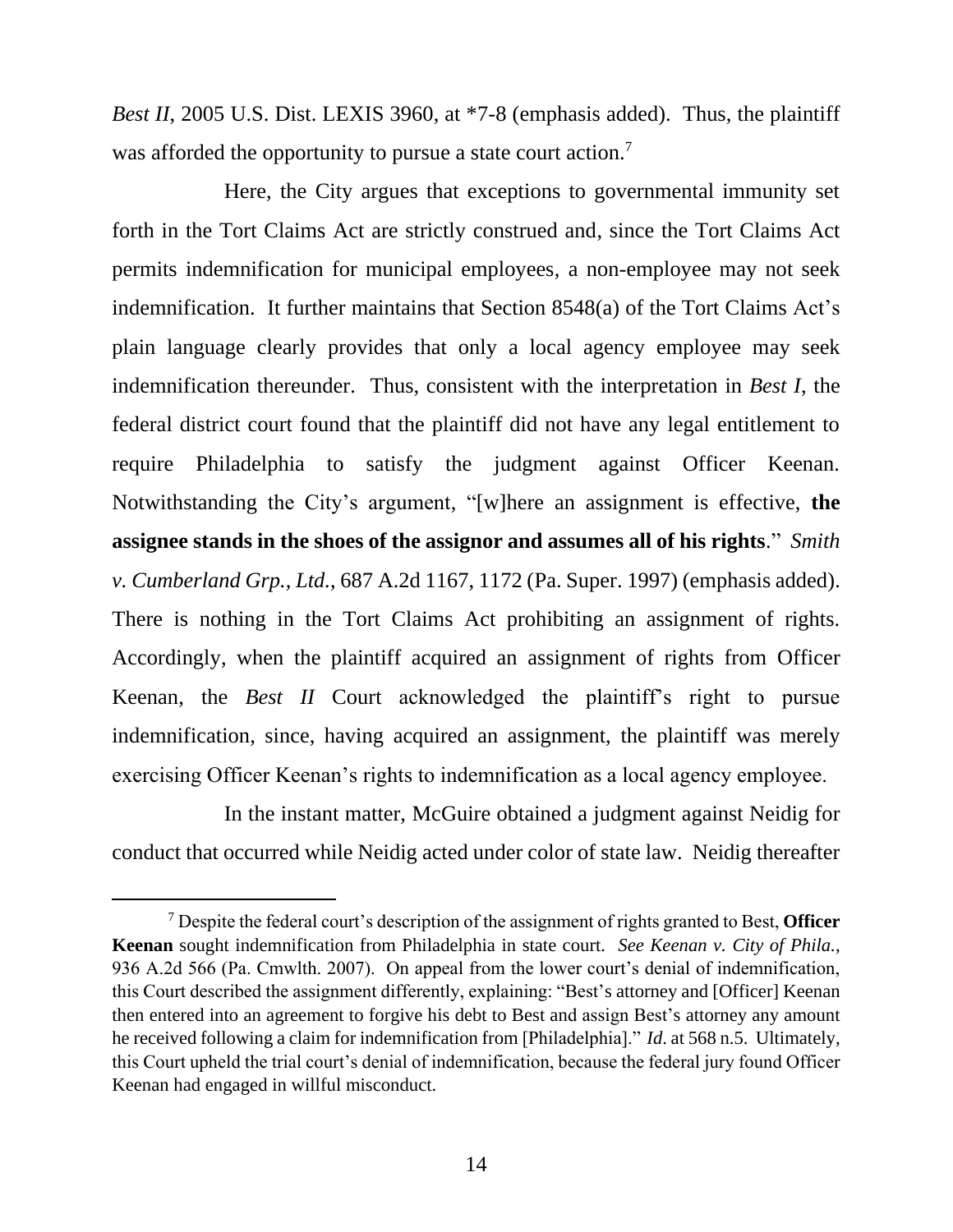*Best II*, 2005 U.S. Dist. LEXIS 3960, at \*7-8 (emphasis added). Thus, the plaintiff was afforded the opportunity to pursue a state court action.<sup>7</sup>

Here, the City argues that exceptions to governmental immunity set forth in the Tort Claims Act are strictly construed and, since the Tort Claims Act permits indemnification for municipal employees, a non-employee may not seek indemnification. It further maintains that Section 8548(a) of the Tort Claims Act's plain language clearly provides that only a local agency employee may seek indemnification thereunder. Thus, consistent with the interpretation in *Best I*, the federal district court found that the plaintiff did not have any legal entitlement to require Philadelphia to satisfy the judgment against Officer Keenan. Notwithstanding the City's argument, "[w]here an assignment is effective, **the assignee stands in the shoes of the assignor and assumes all of his rights**." *Smith v. Cumberland Grp., Ltd.*, 687 A.2d 1167, 1172 (Pa. Super. 1997) (emphasis added). There is nothing in the Tort Claims Act prohibiting an assignment of rights. Accordingly, when the plaintiff acquired an assignment of rights from Officer Keenan, the *Best II* Court acknowledged the plaintiff's right to pursue indemnification, since, having acquired an assignment, the plaintiff was merely exercising Officer Keenan's rights to indemnification as a local agency employee.

In the instant matter, McGuire obtained a judgment against Neidig for conduct that occurred while Neidig acted under color of state law. Neidig thereafter

<sup>7</sup> Despite the federal court's description of the assignment of rights granted to Best, **Officer Keenan** sought indemnification from Philadelphia in state court. *See Keenan v. City of Phila.*, 936 A.2d 566 (Pa. Cmwlth. 2007). On appeal from the lower court's denial of indemnification, this Court described the assignment differently, explaining: "Best's attorney and [Officer] Keenan then entered into an agreement to forgive his debt to Best and assign Best's attorney any amount he received following a claim for indemnification from [Philadelphia]." *Id*. at 568 n.5. Ultimately, this Court upheld the trial court's denial of indemnification, because the federal jury found Officer Keenan had engaged in willful misconduct.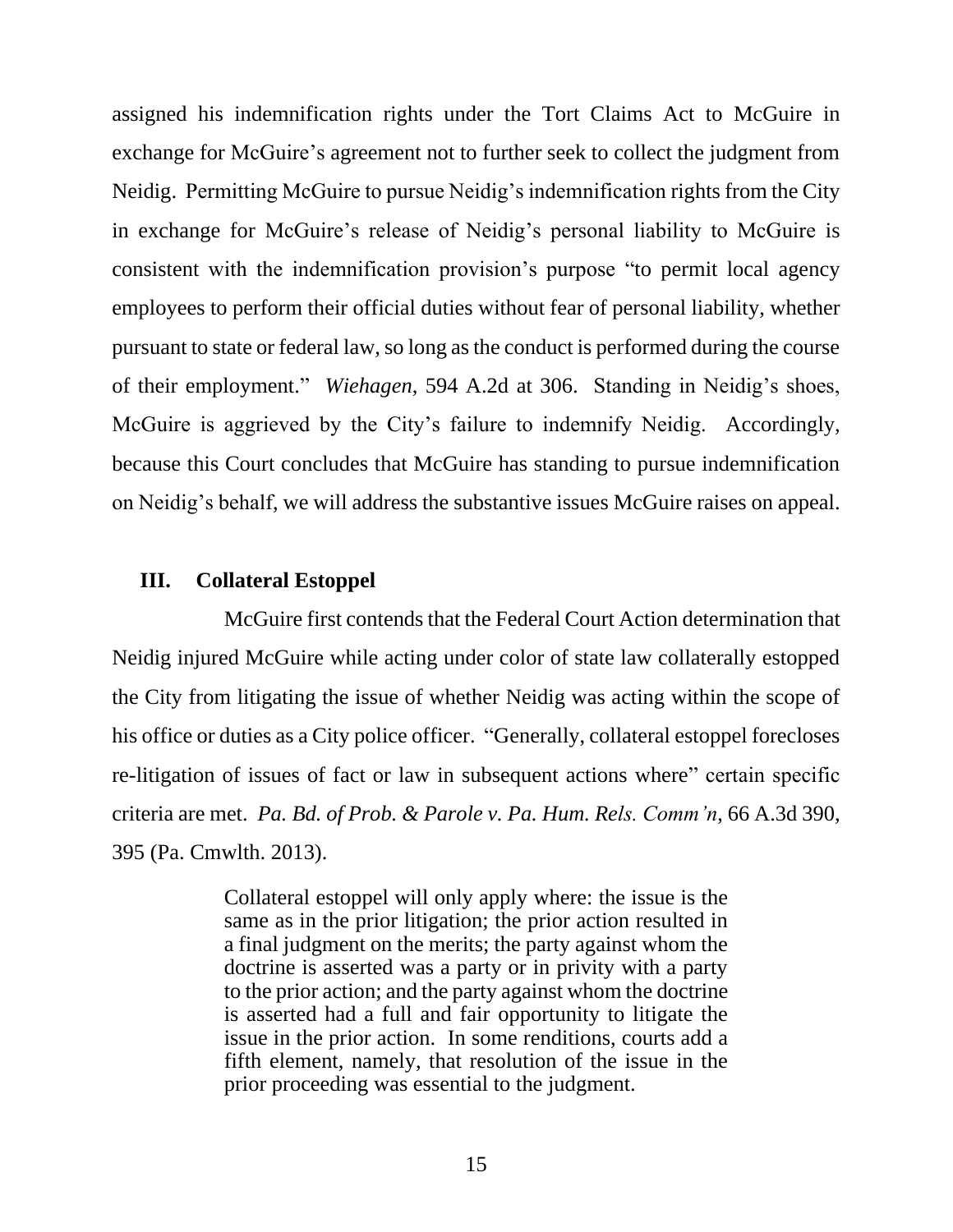assigned his indemnification rights under the Tort Claims Act to McGuire in exchange for McGuire's agreement not to further seek to collect the judgment from Neidig. Permitting McGuire to pursue Neidig's indemnification rights from the City in exchange for McGuire's release of Neidig's personal liability to McGuire is consistent with the indemnification provision's purpose "to permit local agency employees to perform their official duties without fear of personal liability, whether pursuant to state or federal law, so long as the conduct is performed during the course of their employment." *Wiehagen*, 594 A.2d at 306. Standing in Neidig's shoes, McGuire is aggrieved by the City's failure to indemnify Neidig. Accordingly, because this Court concludes that McGuire has standing to pursue indemnification on Neidig's behalf, we will address the substantive issues McGuire raises on appeal.

#### **III. Collateral Estoppel**

McGuire first contends that the Federal Court Action determination that Neidig injured McGuire while acting under color of state law collaterally estopped the City from litigating the issue of whether Neidig was acting within the scope of his office or duties as a City police officer. "Generally, collateral estoppel forecloses re-litigation of issues of fact or law in subsequent actions where" certain specific criteria are met. *Pa. Bd. of Prob. & Parole v. Pa. Hum. Rels. Comm'n*, 66 A.3d 390, 395 (Pa. Cmwlth. 2013).

> Collateral estoppel will only apply where: the issue is the same as in the prior litigation; the prior action resulted in a final judgment on the merits; the party against whom the doctrine is asserted was a party or in privity with a party to the prior action; and the party against whom the doctrine is asserted had a full and fair opportunity to litigate the issue in the prior action. In some renditions, courts add a fifth element, namely, that resolution of the issue in the prior proceeding was essential to the judgment.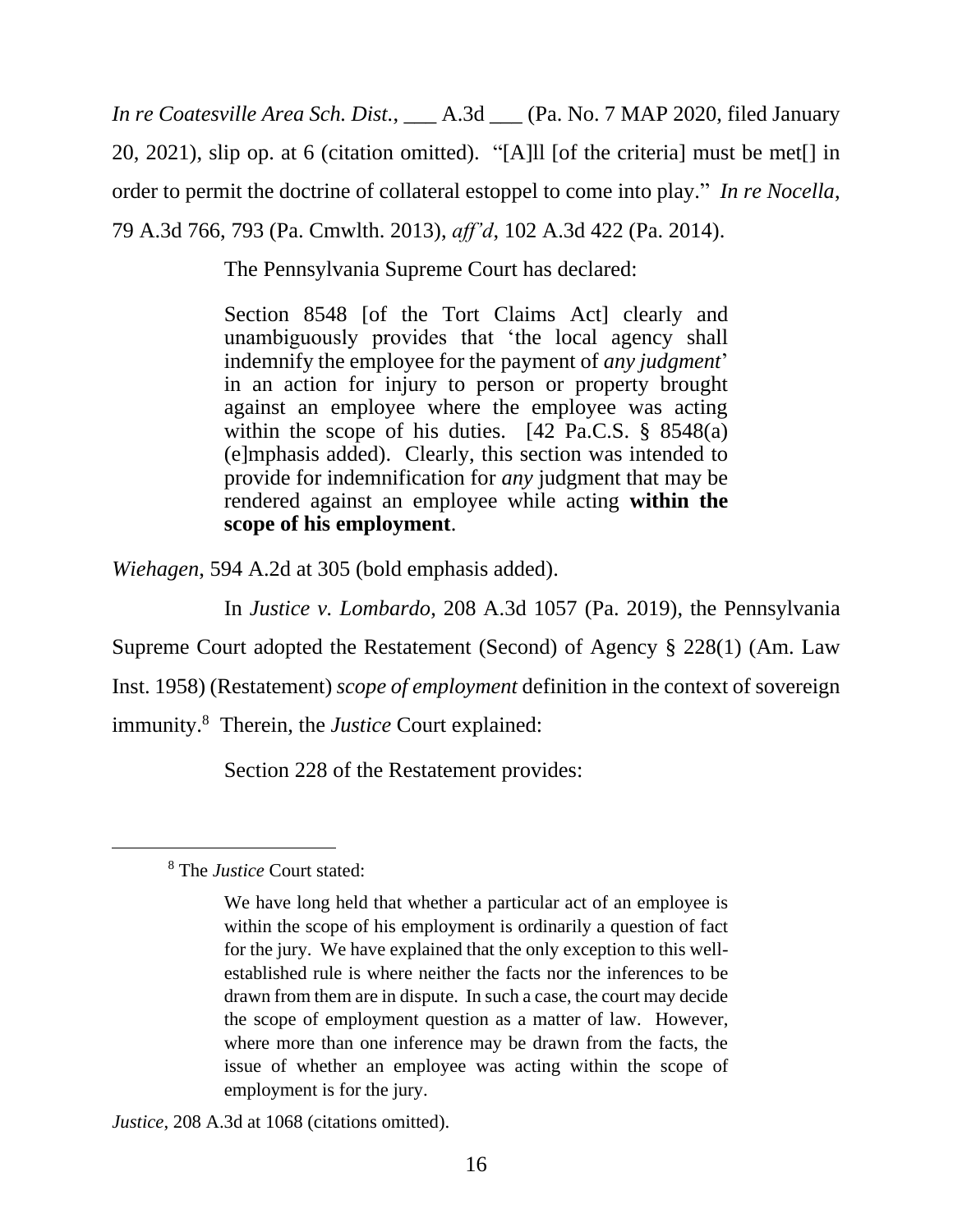*In re Coatesville Area Sch. Dist.*, \_\_\_ A.3d \_\_\_ (Pa. No. 7 MAP 2020, filed January 20, 2021), slip op. at 6 (citation omitted). "[A]ll [of the criteria] must be met[] in order to permit the doctrine of collateral estoppel to come into play." *In re Nocella*, 79 A.3d 766, 793 (Pa. Cmwlth. 2013), *aff'd*, 102 A.3d 422 (Pa. 2014).

The Pennsylvania Supreme Court has declared:

Section 8548 [of the Tort Claims Act] clearly and unambiguously provides that 'the local agency shall indemnify the employee for the payment of *any judgment*' in an action for injury to person or property brought against an employee where the employee was acting within the scope of his duties.  $[42 \text{ Pa.C.S. } § 8548(a)]$ (e]mphasis added). Clearly, this section was intended to provide for indemnification for *any* judgment that may be rendered against an employee while acting **within the scope of his employment**.

*Wiehagen*, 594 A.2d at 305 (bold emphasis added).

In *Justice v. Lombardo*, 208 A.3d 1057 (Pa. 2019), the Pennsylvania Supreme Court adopted the Restatement (Second) of Agency § 228(1) (Am. Law

Inst. 1958) (Restatement) *scope of employment* definition in the context of sovereign

immunity.<sup>8</sup> Therein, the *Justice* Court explained:

Section 228 of the Restatement provides:

*Justice*, 208 A.3d at 1068 (citations omitted).

<sup>8</sup> The *Justice* Court stated:

We have long held that whether a particular act of an employee is within the scope of his employment is ordinarily a question of fact for the jury. We have explained that the only exception to this wellestablished rule is where neither the facts nor the inferences to be drawn from them are in dispute. In such a case, the court may decide the scope of employment question as a matter of law. However, where more than one inference may be drawn from the facts, the issue of whether an employee was acting within the scope of employment is for the jury.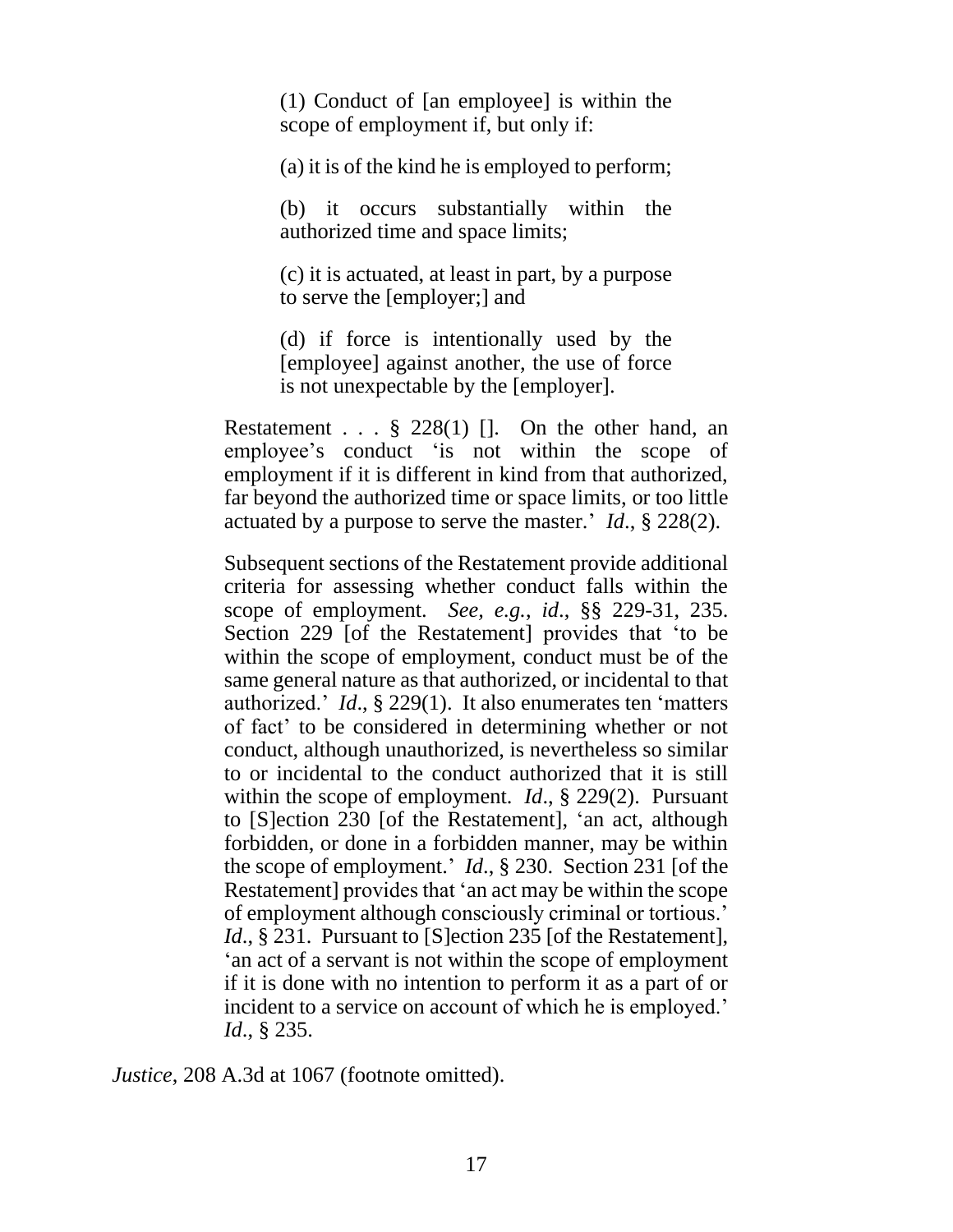(1) Conduct of [an employee] is within the scope of employment if, but only if:

(a) it is of the kind he is employed to perform;

(b) it occurs substantially within the authorized time and space limits;

(c) it is actuated, at least in part, by a purpose to serve the [employer;] and

(d) if force is intentionally used by the [employee] against another, the use of force is not unexpectable by the [employer].

Restatement . . .  $\S$  228(1) []. On the other hand, an employee's conduct 'is not within the scope of employment if it is different in kind from that authorized, far beyond the authorized time or space limits, or too little actuated by a purpose to serve the master.' *Id*., § 228(2).

Subsequent sections of the Restatement provide additional criteria for assessing whether conduct falls within the scope of employment. *See, e.g.*, *id*., §§ 229-31, 235. Section 229 [of the Restatement] provides that 'to be within the scope of employment, conduct must be of the same general nature as that authorized, or incidental to that authorized.' *Id*., § 229(1). It also enumerates ten 'matters of fact' to be considered in determining whether or not conduct, although unauthorized, is nevertheless so similar to or incidental to the conduct authorized that it is still within the scope of employment. *Id*., § 229(2). Pursuant to [S]ection 230 [of the Restatement], 'an act, although forbidden, or done in a forbidden manner, may be within the scope of employment.' *Id*., § 230. Section 231 [of the Restatement] provides that 'an act may be within the scope of employment although consciously criminal or tortious.' *Id.*, § 231. Pursuant to [S]ection 235 [of the Restatement], 'an act of a servant is not within the scope of employment if it is done with no intention to perform it as a part of or incident to a service on account of which he is employed.' *Id*., § 235.

*Justice*, 208 A.3d at 1067 (footnote omitted).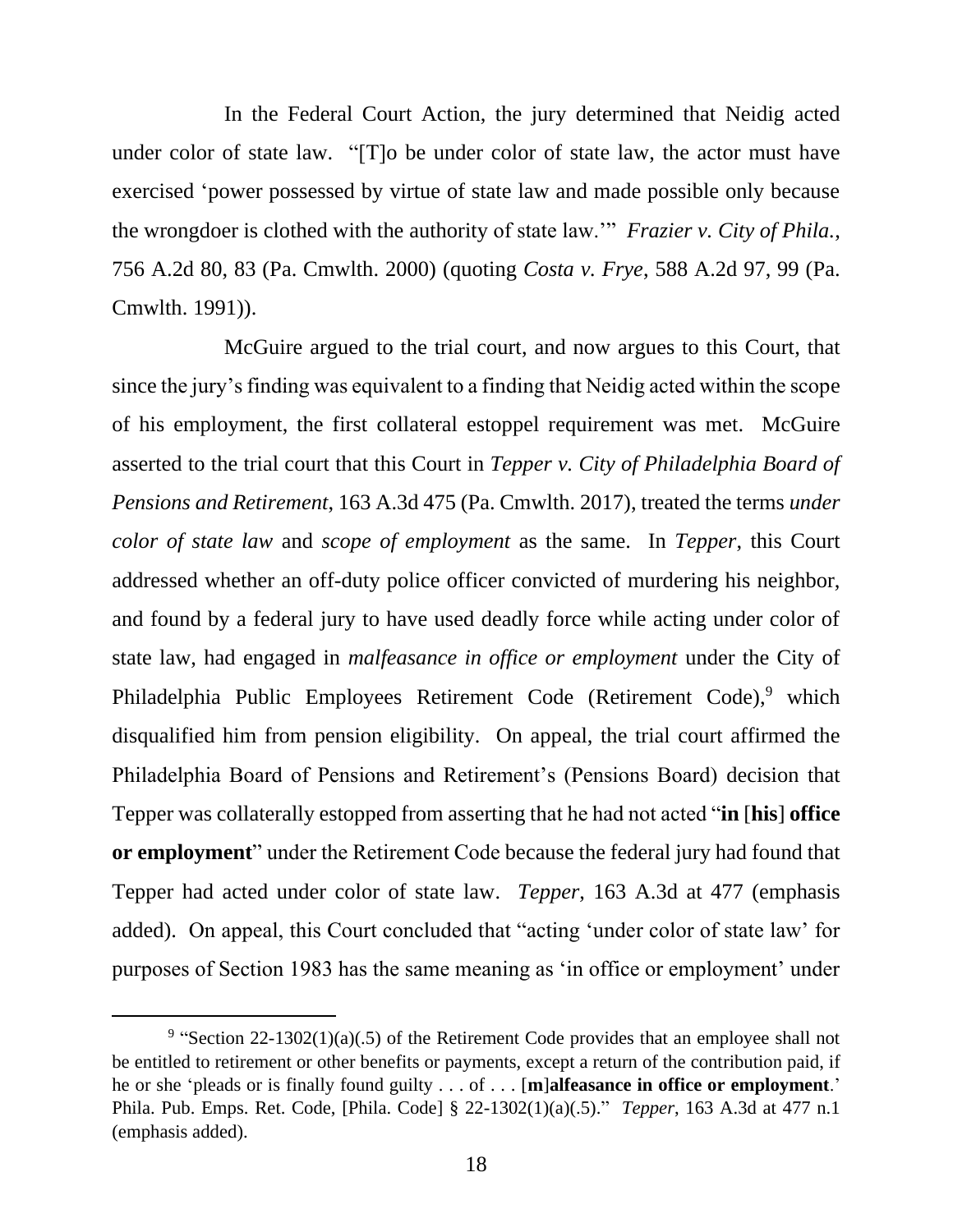In the Federal Court Action, the jury determined that Neidig acted under color of state law. "[T]o be under color of state law, the actor must have exercised 'power possessed by virtue of state law and made possible only because the wrongdoer is clothed with the authority of state law.'" *Frazier v. City of Phila.*, 756 A.2d 80, 83 (Pa. Cmwlth. 2000) (quoting *Costa v. Frye*, 588 A.2d 97, 99 (Pa. Cmwlth. 1991)).

McGuire argued to the trial court, and now argues to this Court, that since the jury's finding was equivalent to a finding that Neidig acted within the scope of his employment, the first collateral estoppel requirement was met. McGuire asserted to the trial court that this Court in *Tepper v. City of Philadelphia Board of Pensions and Retirement*, 163 A.3d 475 (Pa. Cmwlth. 2017), treated the terms *under color of state law* and *scope of employment* as the same. In *Tepper*, this Court addressed whether an off-duty police officer convicted of murdering his neighbor, and found by a federal jury to have used deadly force while acting under color of state law, had engaged in *malfeasance in office or employment* under the City of Philadelphia Public Employees Retirement Code (Retirement Code),<sup>9</sup> which disqualified him from pension eligibility. On appeal, the trial court affirmed the Philadelphia Board of Pensions and Retirement's (Pensions Board) decision that Tepper was collaterally estopped from asserting that he had not acted "**in** [**his**] **office or employment**" under the Retirement Code because the federal jury had found that Tepper had acted under color of state law. *Tepper*, 163 A.3d at 477 (emphasis added). On appeal, this Court concluded that "acting 'under color of state law' for purposes of Section 1983 has the same meaning as 'in office or employment' under

<sup>&</sup>lt;sup>9</sup> "Section 22-1302(1)(a)(.5) of the Retirement Code provides that an employee shall not be entitled to retirement or other benefits or payments, except a return of the contribution paid, if he or she 'pleads or is finally found guilty . . . of . . . [**m**]**alfeasance in office or employment**.' Phila. Pub. Emps. Ret. Code, [Phila. Code] § 22-1302(1)(a)(.5)." *Tepper*, 163 A.3d at 477 n.1 (emphasis added).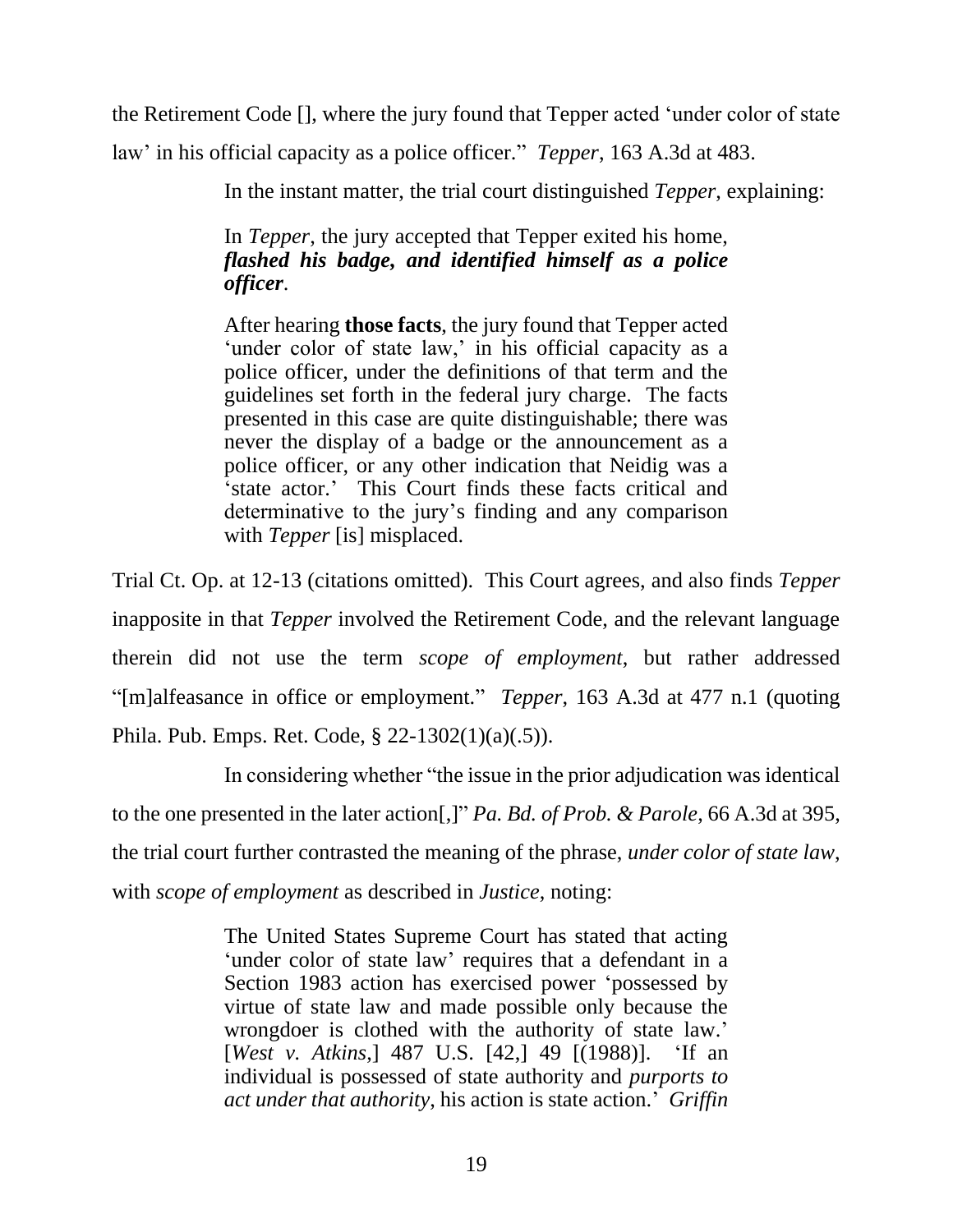the Retirement Code [], where the jury found that Tepper acted 'under color of state

law' in his official capacity as a police officer." *Tepper*, 163 A.3d at 483.

In the instant matter, the trial court distinguished *Tepper*, explaining:

In *Tepper*, the jury accepted that Tepper exited his home, *flashed his badge, and identified himself as a police officer*.

After hearing **those facts**, the jury found that Tepper acted 'under color of state law,' in his official capacity as a police officer, under the definitions of that term and the guidelines set forth in the federal jury charge. The facts presented in this case are quite distinguishable; there was never the display of a badge or the announcement as a police officer, or any other indication that Neidig was a 'state actor.' This Court finds these facts critical and determinative to the jury's finding and any comparison with *Tepper* [is] misplaced.

Trial Ct. Op. at 12-13 (citations omitted). This Court agrees, and also finds *Tepper* inapposite in that *Tepper* involved the Retirement Code, and the relevant language therein did not use the term *scope of employment*, but rather addressed "[m]alfeasance in office or employment." *Tepper*, 163 A.3d at 477 n.1 (quoting Phila. Pub. Emps. Ret. Code, § 22-1302(1)(a)(.5)).

In considering whether "the issue in the prior adjudication was identical to the one presented in the later action[,]" *Pa. Bd. of Prob. & Parole*, 66 A.3d at 395, the trial court further contrasted the meaning of the phrase, *under color of state law*, with *scope of employment* as described in *Justice*, noting:

> The United States Supreme Court has stated that acting 'under color of state law' requires that a defendant in a Section 1983 action has exercised power 'possessed by virtue of state law and made possible only because the wrongdoer is clothed with the authority of state law.' [*West v. Atkins*,] 487 U.S. [42,] 49 [(1988)]. 'If an individual is possessed of state authority and *purports to act under that authority*, his action is state action.' *Griffin*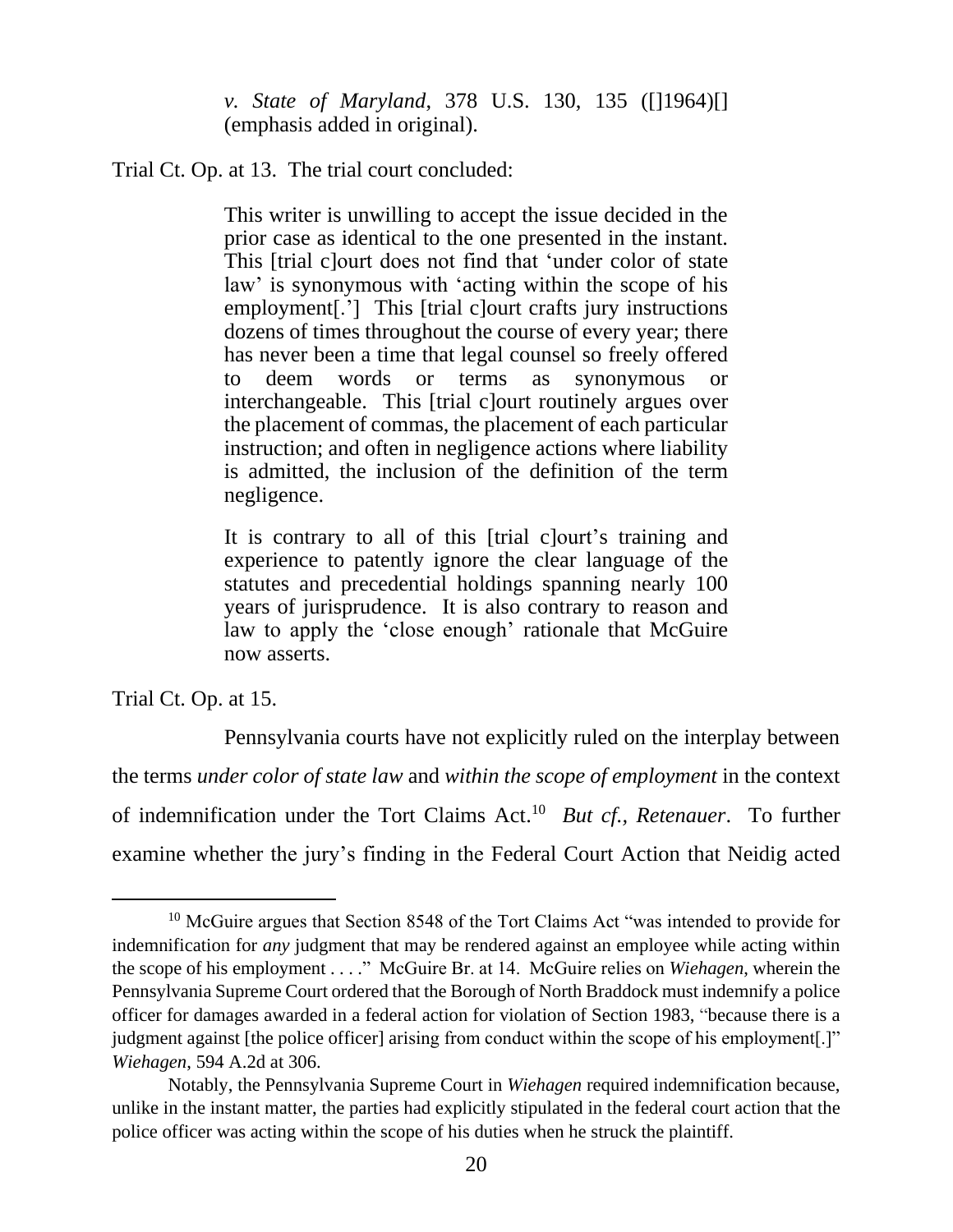*v. State of Maryland*, 378 U.S. 130, 135 ([]1964)[] (emphasis added in original).

Trial Ct. Op. at 13. The trial court concluded:

This writer is unwilling to accept the issue decided in the prior case as identical to the one presented in the instant. This [trial c]ourt does not find that 'under color of state law' is synonymous with 'acting within the scope of his employment[.'] This [trial c]ourt crafts jury instructions dozens of times throughout the course of every year; there has never been a time that legal counsel so freely offered to deem words or terms as synonymous or interchangeable. This [trial c]ourt routinely argues over the placement of commas, the placement of each particular instruction; and often in negligence actions where liability is admitted, the inclusion of the definition of the term negligence.

It is contrary to all of this [trial c]ourt's training and experience to patently ignore the clear language of the statutes and precedential holdings spanning nearly 100 years of jurisprudence. It is also contrary to reason and law to apply the 'close enough' rationale that McGuire now asserts.

Trial Ct. Op. at 15.

Pennsylvania courts have not explicitly ruled on the interplay between the terms *under color of state law* and *within the scope of employment* in the context of indemnification under the Tort Claims Act. <sup>10</sup> *But cf., Retenauer*. To further examine whether the jury's finding in the Federal Court Action that Neidig acted

<sup>&</sup>lt;sup>10</sup> McGuire argues that Section 8548 of the Tort Claims Act "was intended to provide for indemnification for *any* judgment that may be rendered against an employee while acting within the scope of his employment . . . ." McGuire Br. at 14. McGuire relies on *Wiehagen*, wherein the Pennsylvania Supreme Court ordered that the Borough of North Braddock must indemnify a police officer for damages awarded in a federal action for violation of Section 1983, "because there is a judgment against [the police officer] arising from conduct within the scope of his employment[.]" *Wiehagen*, 594 A.2d at 306.

Notably, the Pennsylvania Supreme Court in *Wiehagen* required indemnification because, unlike in the instant matter, the parties had explicitly stipulated in the federal court action that the police officer was acting within the scope of his duties when he struck the plaintiff.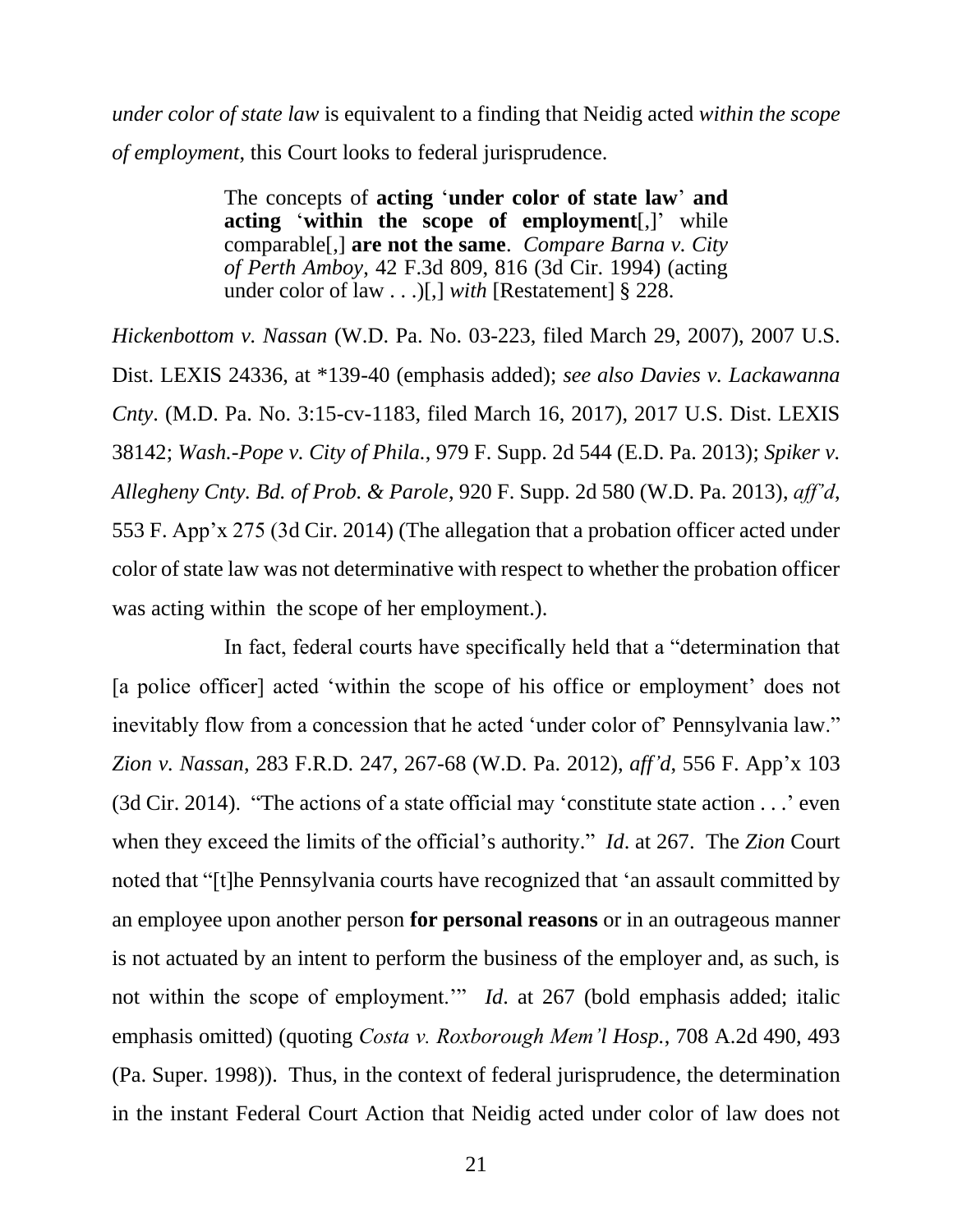*under color of state law* is equivalent to a finding that Neidig acted *within the scope of employment*, this Court looks to federal jurisprudence.

> The concepts of **acting** '**under color of state law**' **and acting** '**within the scope of employment**[,]' while comparable[,] **are not the same**. *Compare Barna v. City of Perth Amboy*, 42 F.3d 809, 816 (3d Cir. 1994) (acting under color of law . . .)[,] *with* [Restatement] § 228.

*Hickenbottom v. Nassan* (W.D. Pa. No. 03-223, filed March 29, 2007), 2007 U.S. Dist. LEXIS 24336, at \*139-40 (emphasis added); *see also Davies v. Lackawanna Cnty*. (M.D. Pa. No. 3:15-cv-1183, filed March 16, 2017), 2017 U.S. Dist. LEXIS 38142; *Wash.-Pope v. City of Phila.*, 979 F. Supp. 2d 544 (E.D. Pa. 2013); *Spiker v. Allegheny Cnty. Bd. of Prob. & Parole*, 920 F. Supp. 2d 580 (W.D. Pa. 2013), *aff'd*, 553 F. App'x 275 (3d Cir. 2014) (The allegation that a probation officer acted under color of state law was not determinative with respect to whether the probation officer was acting within the scope of her employment.).

In fact, federal courts have specifically held that a "determination that [a police officer] acted 'within the scope of his office or employment' does not inevitably flow from a concession that he acted 'under color of' Pennsylvania law." *Zion v. Nassan*, 283 F.R.D. 247, 267-68 (W.D. Pa. 2012), *aff'd*, 556 F. App'x 103 (3d Cir. 2014). "The actions of a state official may 'constitute state action . . .' even when they exceed the limits of the official's authority." *Id*. at 267. The *Zion* Court noted that "[t]he Pennsylvania courts have recognized that 'an assault committed by an employee upon another person **for personal reasons** or in an outrageous manner is not actuated by an intent to perform the business of the employer and, as such, is not within the scope of employment.'" *Id*. at 267 (bold emphasis added; italic emphasis omitted) (quoting *Costa v. Roxborough Mem'l Hosp.*, 708 A.2d 490, 493 (Pa. Super. 1998)). Thus, in the context of federal jurisprudence, the determination in the instant Federal Court Action that Neidig acted under color of law does not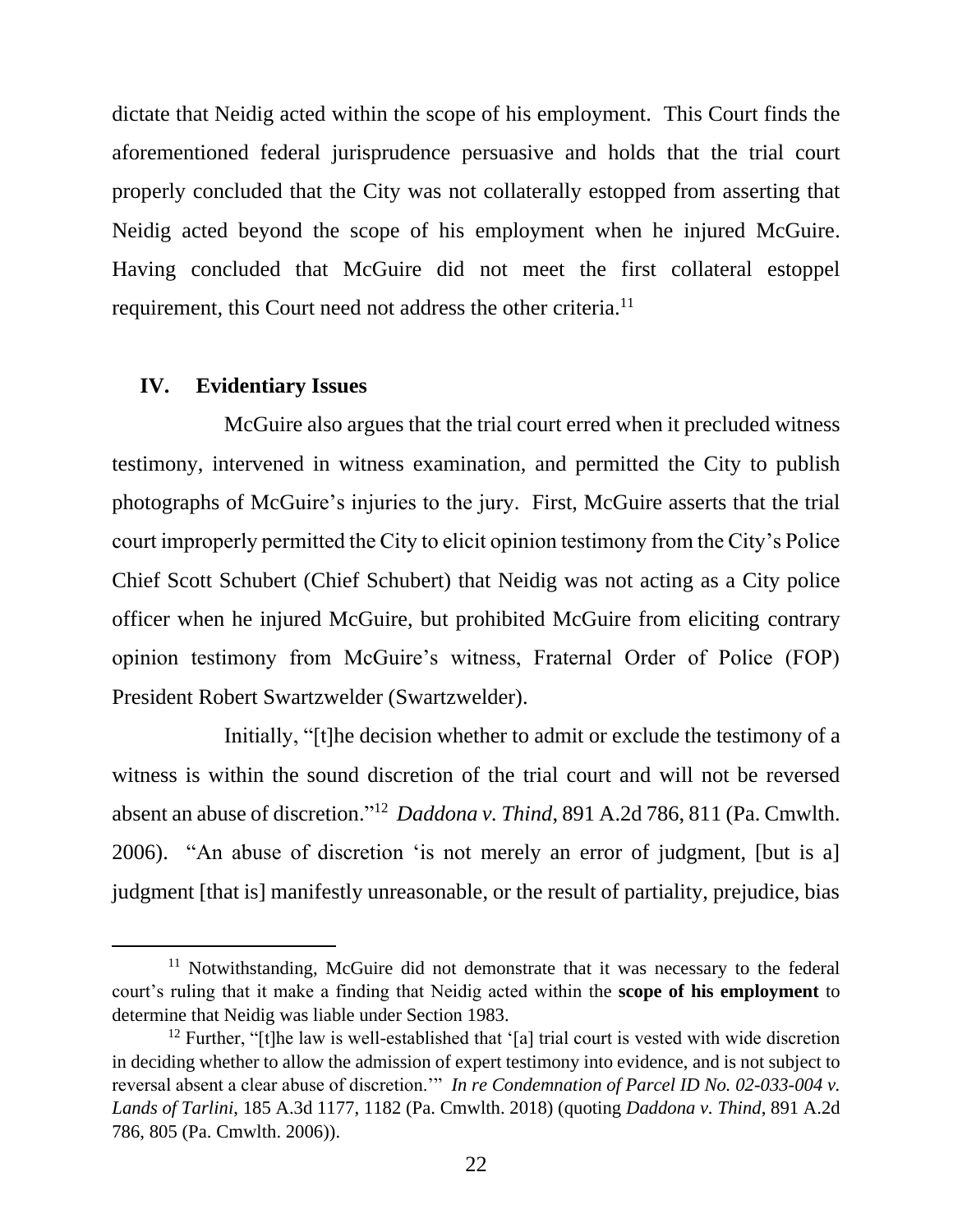dictate that Neidig acted within the scope of his employment. This Court finds the aforementioned federal jurisprudence persuasive and holds that the trial court properly concluded that the City was not collaterally estopped from asserting that Neidig acted beyond the scope of his employment when he injured McGuire. Having concluded that McGuire did not meet the first collateral estoppel requirement, this Court need not address the other criteria.<sup>11</sup>

#### **IV. Evidentiary Issues**

McGuire also argues that the trial court erred when it precluded witness testimony, intervened in witness examination, and permitted the City to publish photographs of McGuire's injuries to the jury. First, McGuire asserts that the trial court improperly permitted the City to elicit opinion testimony from the City's Police Chief Scott Schubert (Chief Schubert) that Neidig was not acting as a City police officer when he injured McGuire, but prohibited McGuire from eliciting contrary opinion testimony from McGuire's witness, Fraternal Order of Police (FOP) President Robert Swartzwelder (Swartzwelder).

Initially, "[t]he decision whether to admit or exclude the testimony of a witness is within the sound discretion of the trial court and will not be reversed absent an abuse of discretion." 12 *Daddona v. Thind*, 891 A.2d 786, 811 (Pa. Cmwlth. 2006). "An abuse of discretion 'is not merely an error of judgment, [but is a] judgment [that is] manifestly unreasonable, or the result of partiality, prejudice, bias

<sup>&</sup>lt;sup>11</sup> Notwithstanding, McGuire did not demonstrate that it was necessary to the federal court's ruling that it make a finding that Neidig acted within the **scope of his employment** to determine that Neidig was liable under Section 1983.

 $12$  Further, "[t]he law is well-established that '[a] trial court is vested with wide discretion in deciding whether to allow the admission of expert testimony into evidence, and is not subject to reversal absent a clear abuse of discretion.'" *In re Condemnation of Parcel ID No. 02-033-004 v. Lands of Tarlini*, 185 A.3d 1177, 1182 (Pa. Cmwlth. 2018) (quoting *Daddona v. Thind*, 891 A.2d 786, 805 (Pa. Cmwlth. 2006)).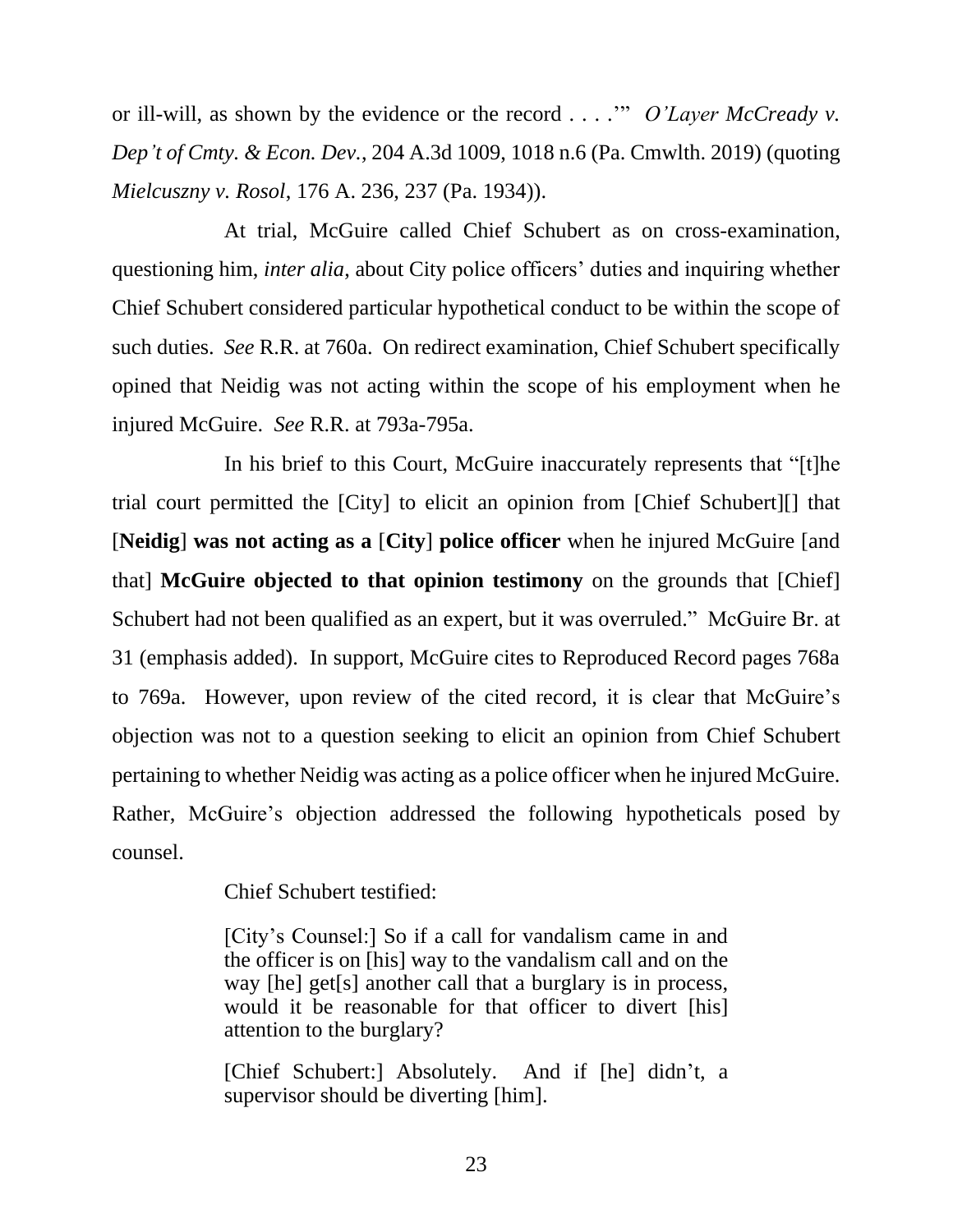or ill-will, as shown by the evidence or the record . . . .'" *O'Layer McCready v. Dep't of Cmty. & Econ. Dev.*, 204 A.3d 1009, 1018 n.6 (Pa. Cmwlth. 2019) (quoting *Mielcuszny v. Rosol*, 176 A. 236, 237 (Pa. 1934)).

At trial, McGuire called Chief Schubert as on cross-examination, questioning him, *inter alia*, about City police officers' duties and inquiring whether Chief Schubert considered particular hypothetical conduct to be within the scope of such duties. *See* R.R. at 760a. On redirect examination, Chief Schubert specifically opined that Neidig was not acting within the scope of his employment when he injured McGuire. *See* R.R. at 793a-795a.

In his brief to this Court, McGuire inaccurately represents that "[t]he trial court permitted the [City] to elicit an opinion from [Chief Schubert][] that [**Neidig**] **was not acting as a** [**City**] **police officer** when he injured McGuire [and that] **McGuire objected to that opinion testimony** on the grounds that [Chief] Schubert had not been qualified as an expert, but it was overruled." McGuire Br. at 31 (emphasis added). In support, McGuire cites to Reproduced Record pages 768a to 769a. However, upon review of the cited record, it is clear that McGuire's objection was not to a question seeking to elicit an opinion from Chief Schubert pertaining to whether Neidig was acting as a police officer when he injured McGuire. Rather, McGuire's objection addressed the following hypotheticals posed by counsel.

Chief Schubert testified:

[City's Counsel:] So if a call for vandalism came in and the officer is on [his] way to the vandalism call and on the way [he] get[s] another call that a burglary is in process, would it be reasonable for that officer to divert [his] attention to the burglary?

[Chief Schubert:] Absolutely. And if [he] didn't, a supervisor should be diverting [him].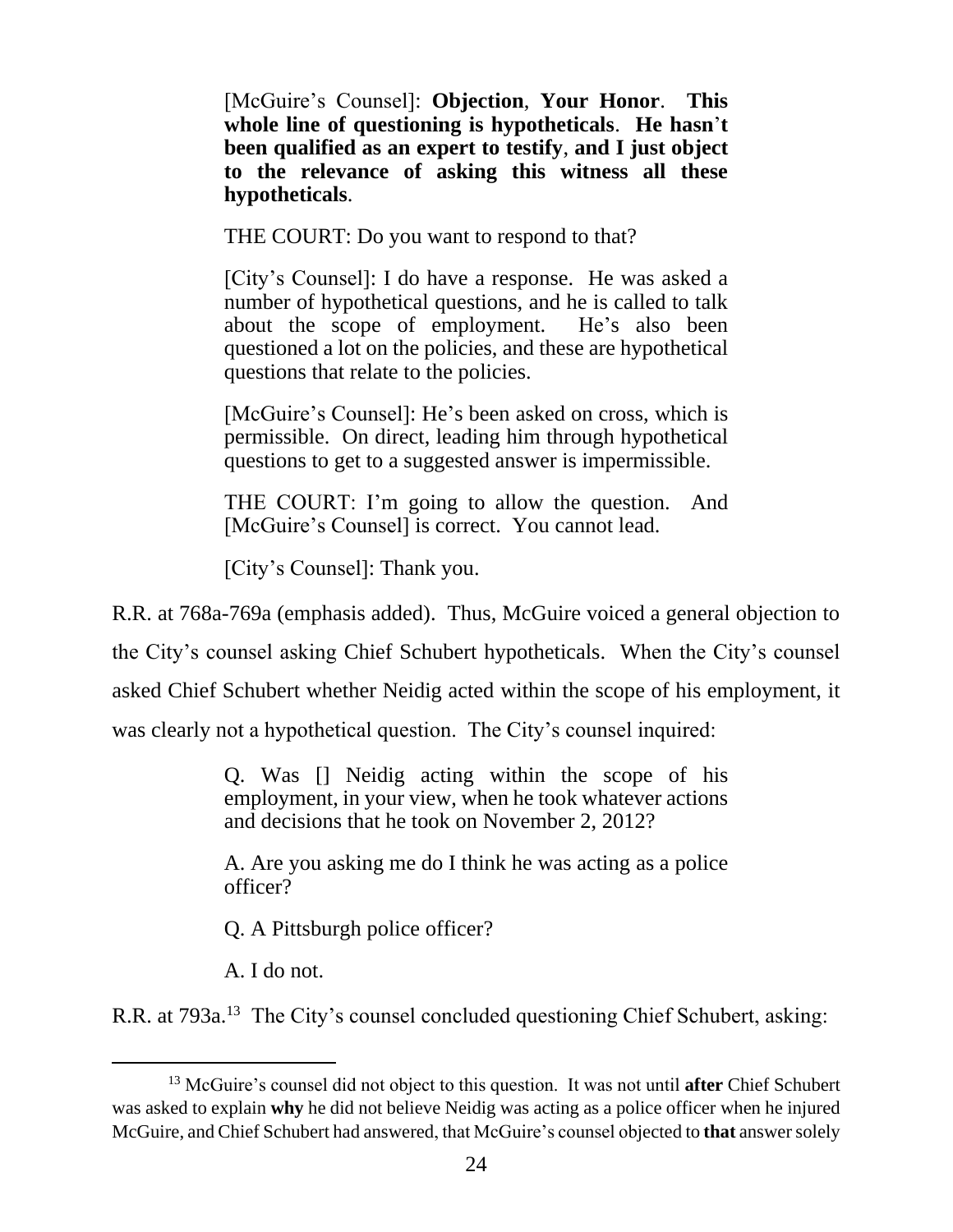[McGuire's Counsel]: **Objection**, **Your Honor**. **This whole line of questioning is hypotheticals**. **He hasn**'**t been qualified as an expert to testify**, **and I just object to the relevance of asking this witness all these hypotheticals**.

THE COURT: Do you want to respond to that?

[City's Counsel]: I do have a response. He was asked a number of hypothetical questions, and he is called to talk about the scope of employment. He's also been questioned a lot on the policies, and these are hypothetical questions that relate to the policies.

[McGuire's Counsel]: He's been asked on cross, which is permissible. On direct, leading him through hypothetical questions to get to a suggested answer is impermissible.

THE COURT: I'm going to allow the question. And [McGuire's Counsel] is correct. You cannot lead.

[City's Counsel]: Thank you.

R.R. at 768a-769a (emphasis added). Thus, McGuire voiced a general objection to the City's counsel asking Chief Schubert hypotheticals. When the City's counsel asked Chief Schubert whether Neidig acted within the scope of his employment, it was clearly not a hypothetical question. The City's counsel inquired:

> Q. Was [] Neidig acting within the scope of his employment, in your view, when he took whatever actions and decisions that he took on November 2, 2012?

> A. Are you asking me do I think he was acting as a police officer?

Q. A Pittsburgh police officer?

A. I do not.

R.R. at 793a.<sup>13</sup> The City's counsel concluded questioning Chief Schubert, asking:

<sup>13</sup> McGuire's counsel did not object to this question. It was not until **after** Chief Schubert was asked to explain **why** he did not believe Neidig was acting as a police officer when he injured McGuire, and Chief Schubert had answered, that McGuire's counsel objected to **that** answersolely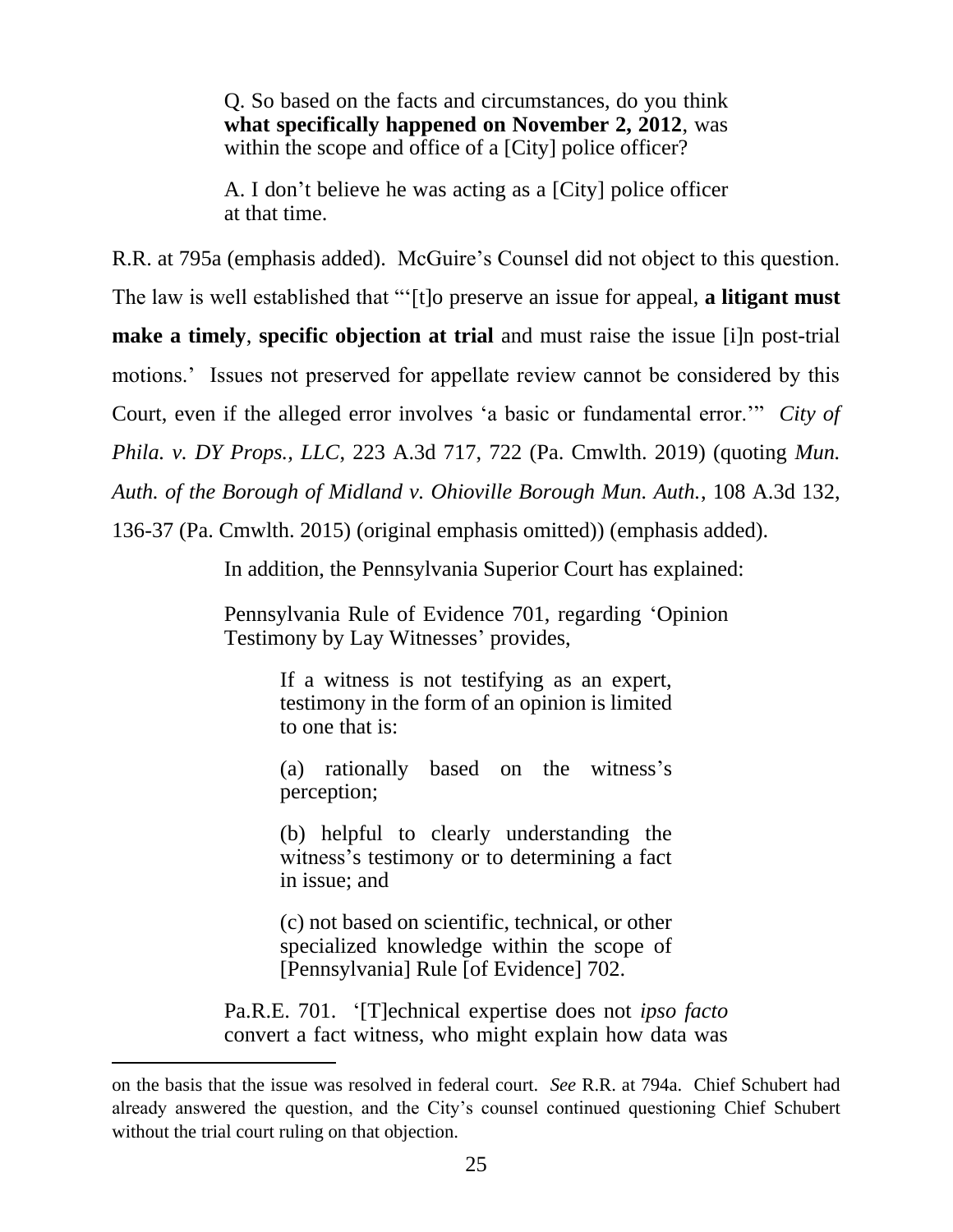Q. So based on the facts and circumstances, do you think **what specifically happened on November 2, 2012**, was within the scope and office of a [City] police officer?

A. I don't believe he was acting as a [City] police officer at that time.

R.R. at 795a (emphasis added). McGuire's Counsel did not object to this question.

The law is well established that "'[t]o preserve an issue for appeal, **a litigant must**

**make a timely**, **specific objection at trial** and must raise the issue [i]n post-trial

motions.' Issues not preserved for appellate review cannot be considered by this

Court, even if the alleged error involves 'a basic or fundamental error.'" *City of* 

*Phila. v. DY Props., LLC*, 223 A.3d 717, 722 (Pa. Cmwlth. 2019) (quoting *Mun.* 

*Auth. of the Borough of Midland v. Ohioville Borough Mun. Auth.*, 108 A.3d 132,

136-37 (Pa. Cmwlth. 2015) (original emphasis omitted)) (emphasis added).

In addition, the Pennsylvania Superior Court has explained:

Pennsylvania Rule of Evidence 701, regarding 'Opinion Testimony by Lay Witnesses' provides,

> If a witness is not testifying as an expert, testimony in the form of an opinion is limited to one that is:

> (a) rationally based on the witness's perception;

> (b) helpful to clearly understanding the witness's testimony or to determining a fact in issue; and

> (c) not based on scientific, technical, or other specialized knowledge within the scope of [Pennsylvania] Rule [of Evidence] 702.

Pa.R.E. 701. '[T]echnical expertise does not *ipso facto* convert a fact witness, who might explain how data was

on the basis that the issue was resolved in federal court. *See* R.R. at 794a. Chief Schubert had already answered the question, and the City's counsel continued questioning Chief Schubert without the trial court ruling on that objection.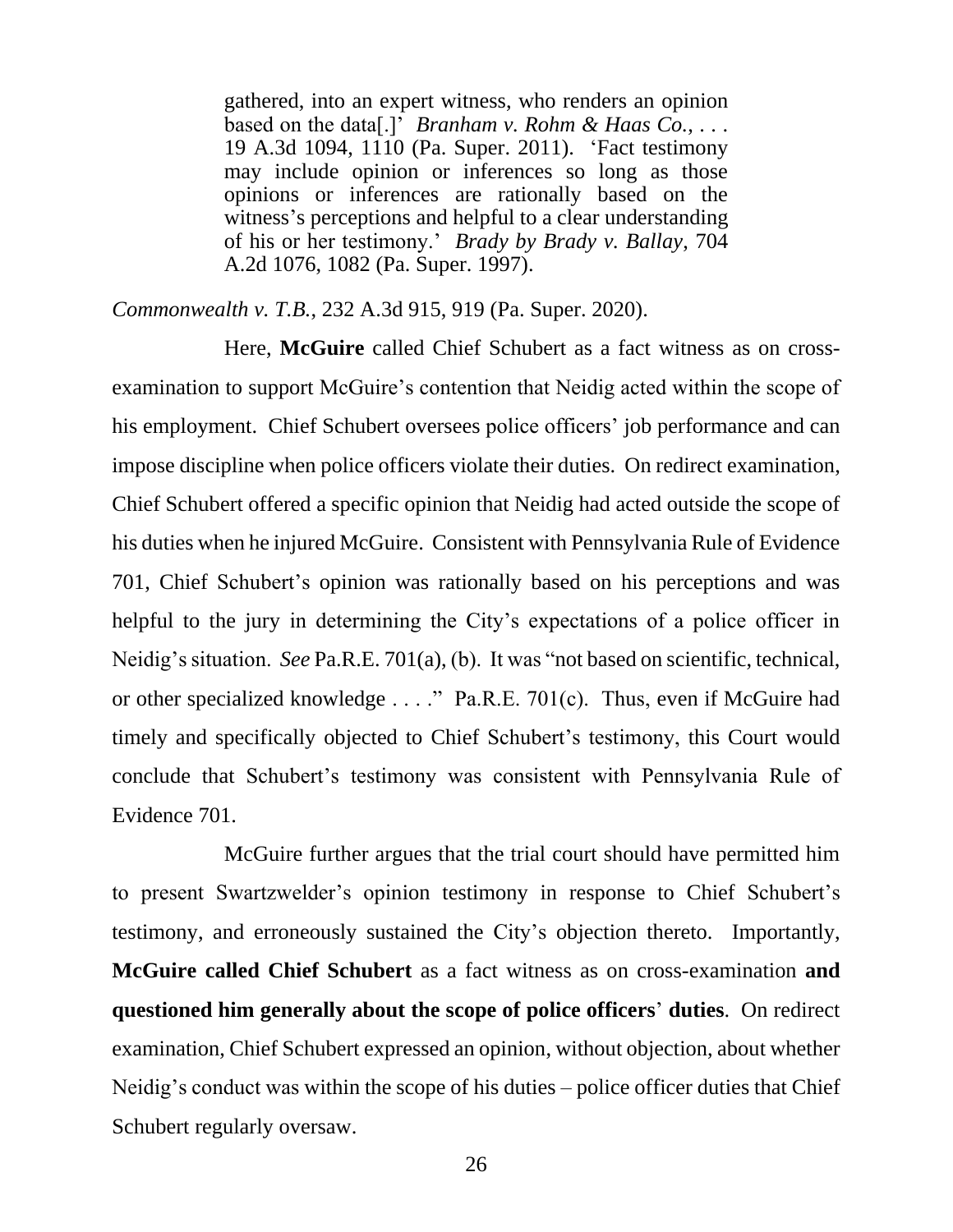gathered, into an expert witness, who renders an opinion based on the data[.]' *Branham v. Rohm & Haas Co.*, . . . 19 A.3d 1094, 1110 (Pa. Super. 2011). 'Fact testimony may include opinion or inferences so long as those opinions or inferences are rationally based on the witness's perceptions and helpful to a clear understanding of his or her testimony.' *Brady by Brady v. Ballay*, 704 A.2d 1076, 1082 (Pa. Super. 1997).

*Commonwealth v. T.B.*, 232 A.3d 915, 919 (Pa. Super. 2020).

Here, **McGuire** called Chief Schubert as a fact witness as on crossexamination to support McGuire's contention that Neidig acted within the scope of his employment. Chief Schubert oversees police officers' job performance and can impose discipline when police officers violate their duties. On redirect examination, Chief Schubert offered a specific opinion that Neidig had acted outside the scope of his duties when he injured McGuire. Consistent with Pennsylvania Rule of Evidence 701, Chief Schubert's opinion was rationally based on his perceptions and was helpful to the jury in determining the City's expectations of a police officer in Neidig's situation. *See* Pa.R.E. 701(a), (b). It was "not based on scientific, technical, or other specialized knowledge . . . ." Pa.R.E. 701(c). Thus, even if McGuire had timely and specifically objected to Chief Schubert's testimony, this Court would conclude that Schubert's testimony was consistent with Pennsylvania Rule of Evidence 701.

McGuire further argues that the trial court should have permitted him to present Swartzwelder's opinion testimony in response to Chief Schubert's testimony, and erroneously sustained the City's objection thereto. Importantly, **McGuire called Chief Schubert** as a fact witness as on cross-examination **and questioned him generally about the scope of police officers**' **duties**. On redirect examination, Chief Schubert expressed an opinion, without objection, about whether Neidig's conduct was within the scope of his duties – police officer duties that Chief Schubert regularly oversaw.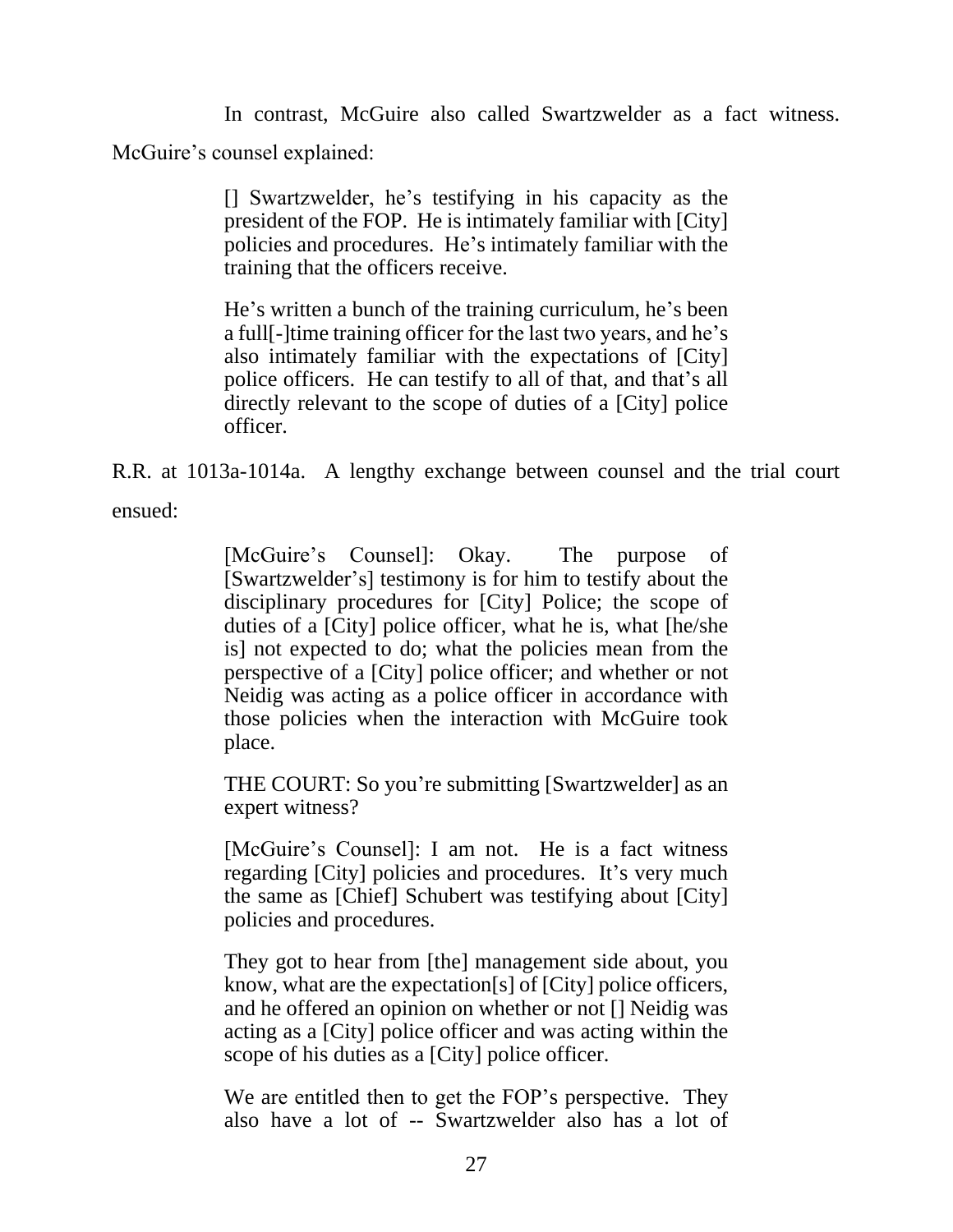In contrast, McGuire also called Swartzwelder as a fact witness. McGuire's counsel explained:

> [] Swartzwelder, he's testifying in his capacity as the president of the FOP. He is intimately familiar with [City] policies and procedures. He's intimately familiar with the training that the officers receive.

> He's written a bunch of the training curriculum, he's been a full[-]time training officer for the last two years, and he's also intimately familiar with the expectations of [City] police officers. He can testify to all of that, and that's all directly relevant to the scope of duties of a [City] police officer.

R.R. at 1013a-1014a. A lengthy exchange between counsel and the trial court ensued:

> [McGuire's Counsel]: Okay. The purpose of [Swartzwelder's] testimony is for him to testify about the disciplinary procedures for [City] Police; the scope of duties of a [City] police officer, what he is, what [he/she is] not expected to do; what the policies mean from the perspective of a [City] police officer; and whether or not Neidig was acting as a police officer in accordance with those policies when the interaction with McGuire took place.

> THE COURT: So you're submitting [Swartzwelder] as an expert witness?

> [McGuire's Counsel]: I am not. He is a fact witness regarding [City] policies and procedures. It's very much the same as [Chief] Schubert was testifying about [City] policies and procedures.

> They got to hear from [the] management side about, you know, what are the expectation[s] of [City] police officers, and he offered an opinion on whether or not [] Neidig was acting as a [City] police officer and was acting within the scope of his duties as a [City] police officer.

> We are entitled then to get the FOP's perspective. They also have a lot of -- Swartzwelder also has a lot of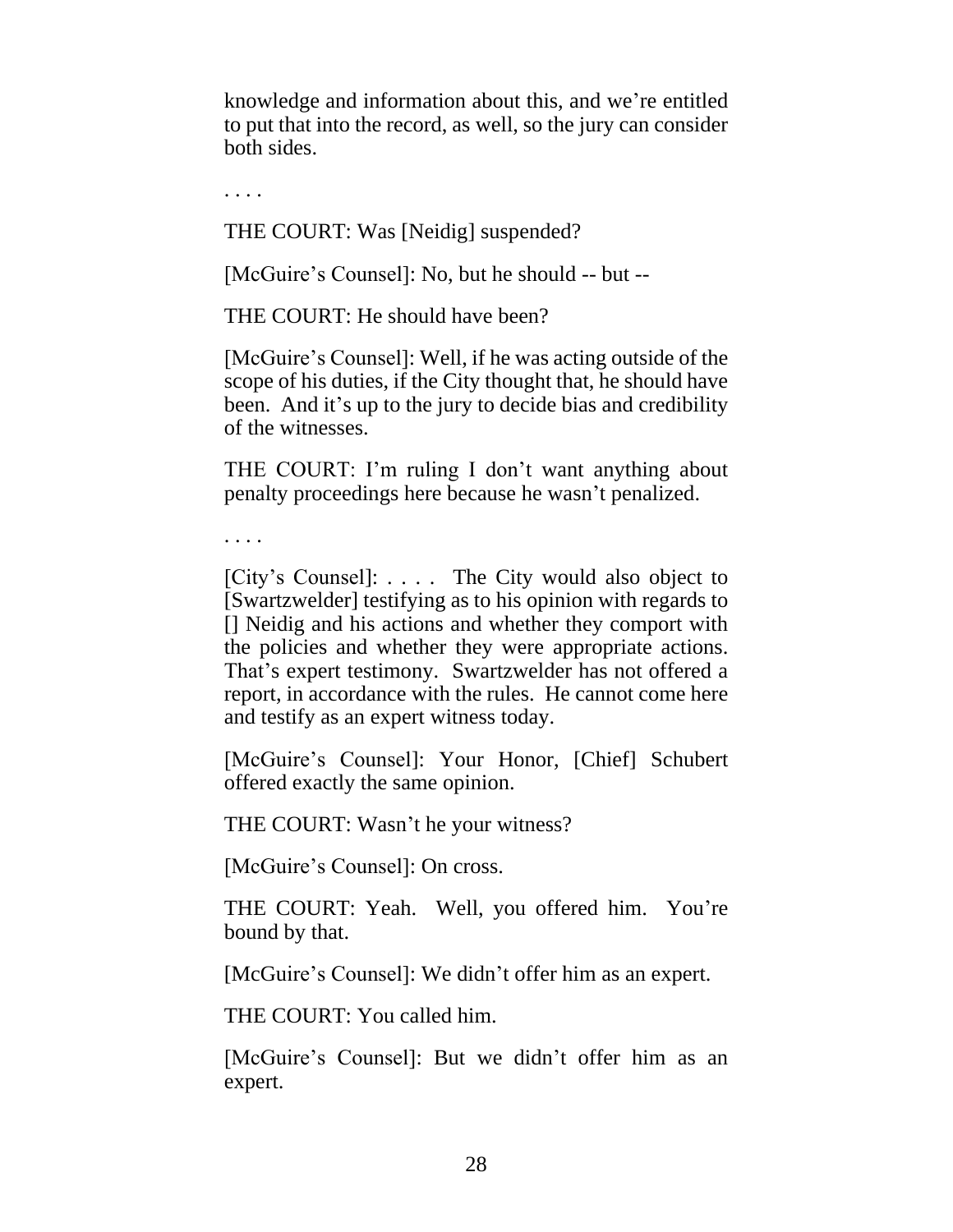knowledge and information about this, and we're entitled to put that into the record, as well, so the jury can consider both sides.

. . . .

THE COURT: Was [Neidig] suspended?

[McGuire's Counsel]: No, but he should -- but --

THE COURT: He should have been?

[McGuire's Counsel]: Well, if he was acting outside of the scope of his duties, if the City thought that, he should have been. And it's up to the jury to decide bias and credibility of the witnesses.

THE COURT: I'm ruling I don't want anything about penalty proceedings here because he wasn't penalized.

. . . .

[City's Counsel]: . . . . The City would also object to [Swartzwelder] testifying as to his opinion with regards to [] Neidig and his actions and whether they comport with the policies and whether they were appropriate actions. That's expert testimony. Swartzwelder has not offered a report, in accordance with the rules. He cannot come here and testify as an expert witness today.

[McGuire's Counsel]: Your Honor, [Chief] Schubert offered exactly the same opinion.

THE COURT: Wasn't he your witness?

[McGuire's Counsel]: On cross.

THE COURT: Yeah. Well, you offered him. You're bound by that.

[McGuire's Counsel]: We didn't offer him as an expert.

THE COURT: You called him.

[McGuire's Counsel]: But we didn't offer him as an expert.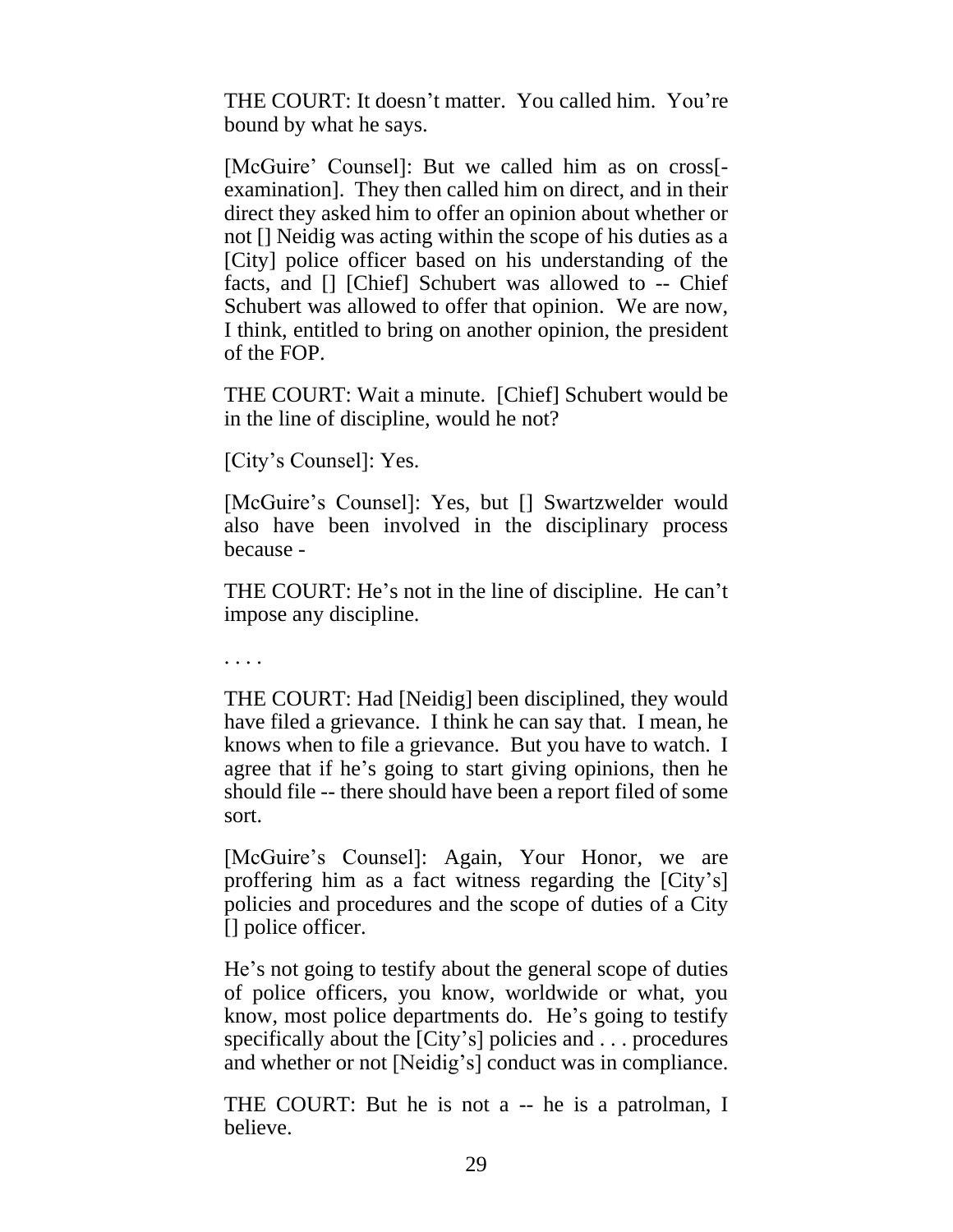THE COURT: It doesn't matter. You called him. You're bound by what he says.

[McGuire' Counsel]: But we called him as on cross[ examination]. They then called him on direct, and in their direct they asked him to offer an opinion about whether or not [] Neidig was acting within the scope of his duties as a [City] police officer based on his understanding of the facts, and [] [Chief] Schubert was allowed to -- Chief Schubert was allowed to offer that opinion. We are now, I think, entitled to bring on another opinion, the president of the FOP.

THE COURT: Wait a minute. [Chief] Schubert would be in the line of discipline, would he not?

[City's Counsel]: Yes.

[McGuire's Counsel]: Yes, but [] Swartzwelder would also have been involved in the disciplinary process because -

THE COURT: He's not in the line of discipline. He can't impose any discipline.

. . . .

THE COURT: Had [Neidig] been disciplined, they would have filed a grievance. I think he can say that. I mean, he knows when to file a grievance. But you have to watch. I agree that if he's going to start giving opinions, then he should file -- there should have been a report filed of some sort.

[McGuire's Counsel]: Again, Your Honor, we are proffering him as a fact witness regarding the [City's] policies and procedures and the scope of duties of a City [] police officer.

He's not going to testify about the general scope of duties of police officers, you know, worldwide or what, you know, most police departments do. He's going to testify specifically about the [City's] policies and . . . procedures and whether or not [Neidig's] conduct was in compliance.

THE COURT: But he is not a -- he is a patrolman, I believe.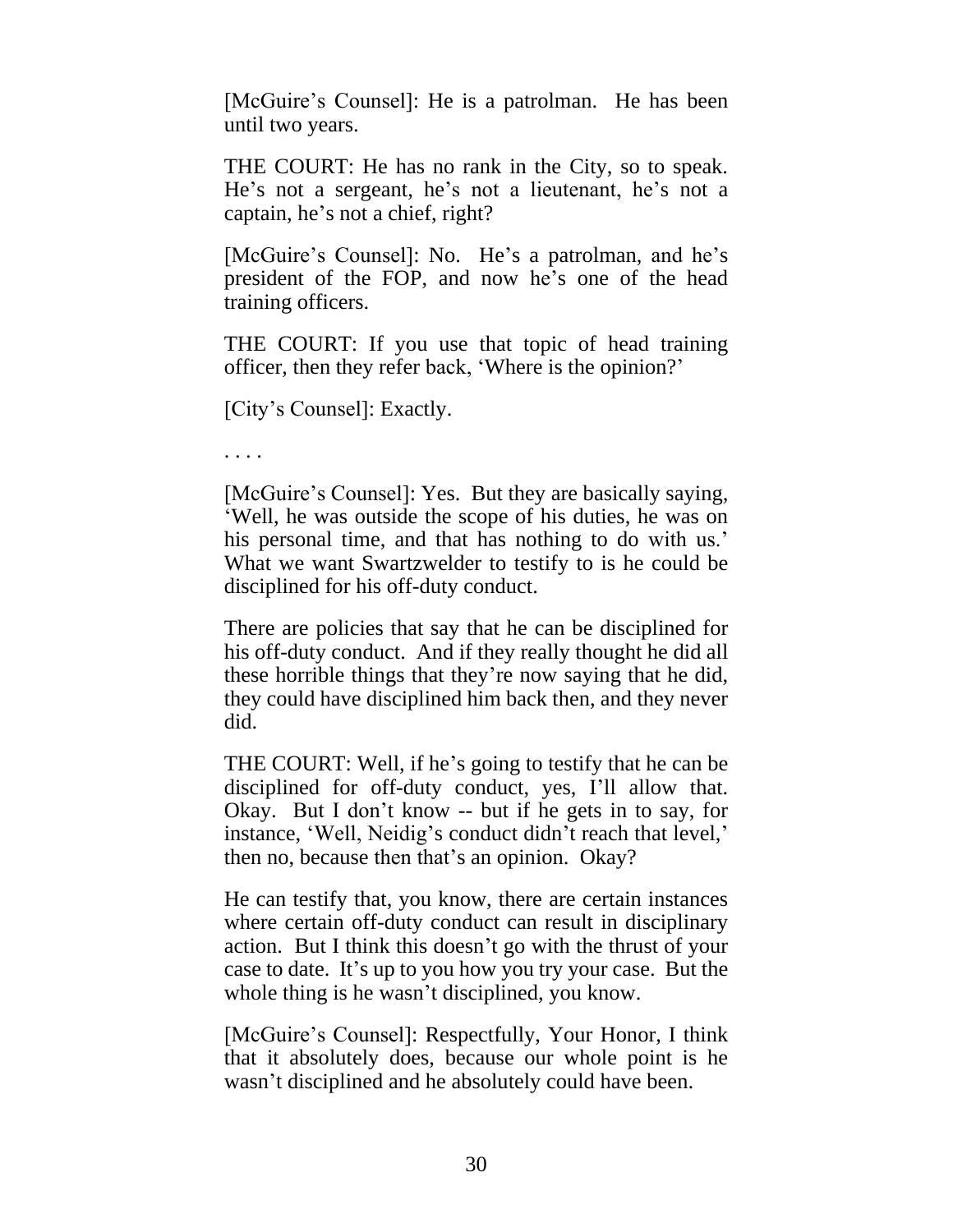[McGuire's Counsel]: He is a patrolman. He has been until two years.

THE COURT: He has no rank in the City, so to speak. He's not a sergeant, he's not a lieutenant, he's not a captain, he's not a chief, right?

[McGuire's Counsel]: No. He's a patrolman, and he's president of the FOP, and now he's one of the head training officers.

THE COURT: If you use that topic of head training officer, then they refer back, 'Where is the opinion?'

[City's Counsel]: Exactly.

. . . .

[McGuire's Counsel]: Yes. But they are basically saying, 'Well, he was outside the scope of his duties, he was on his personal time, and that has nothing to do with us.' What we want Swartzwelder to testify to is he could be disciplined for his off-duty conduct.

There are policies that say that he can be disciplined for his off-duty conduct. And if they really thought he did all these horrible things that they're now saying that he did, they could have disciplined him back then, and they never did.

THE COURT: Well, if he's going to testify that he can be disciplined for off-duty conduct, yes, I'll allow that. Okay. But I don't know -- but if he gets in to say, for instance, 'Well, Neidig's conduct didn't reach that level,' then no, because then that's an opinion. Okay?

He can testify that, you know, there are certain instances where certain off-duty conduct can result in disciplinary action. But I think this doesn't go with the thrust of your case to date. It's up to you how you try your case. But the whole thing is he wasn't disciplined, you know.

[McGuire's Counsel]: Respectfully, Your Honor, I think that it absolutely does, because our whole point is he wasn't disciplined and he absolutely could have been.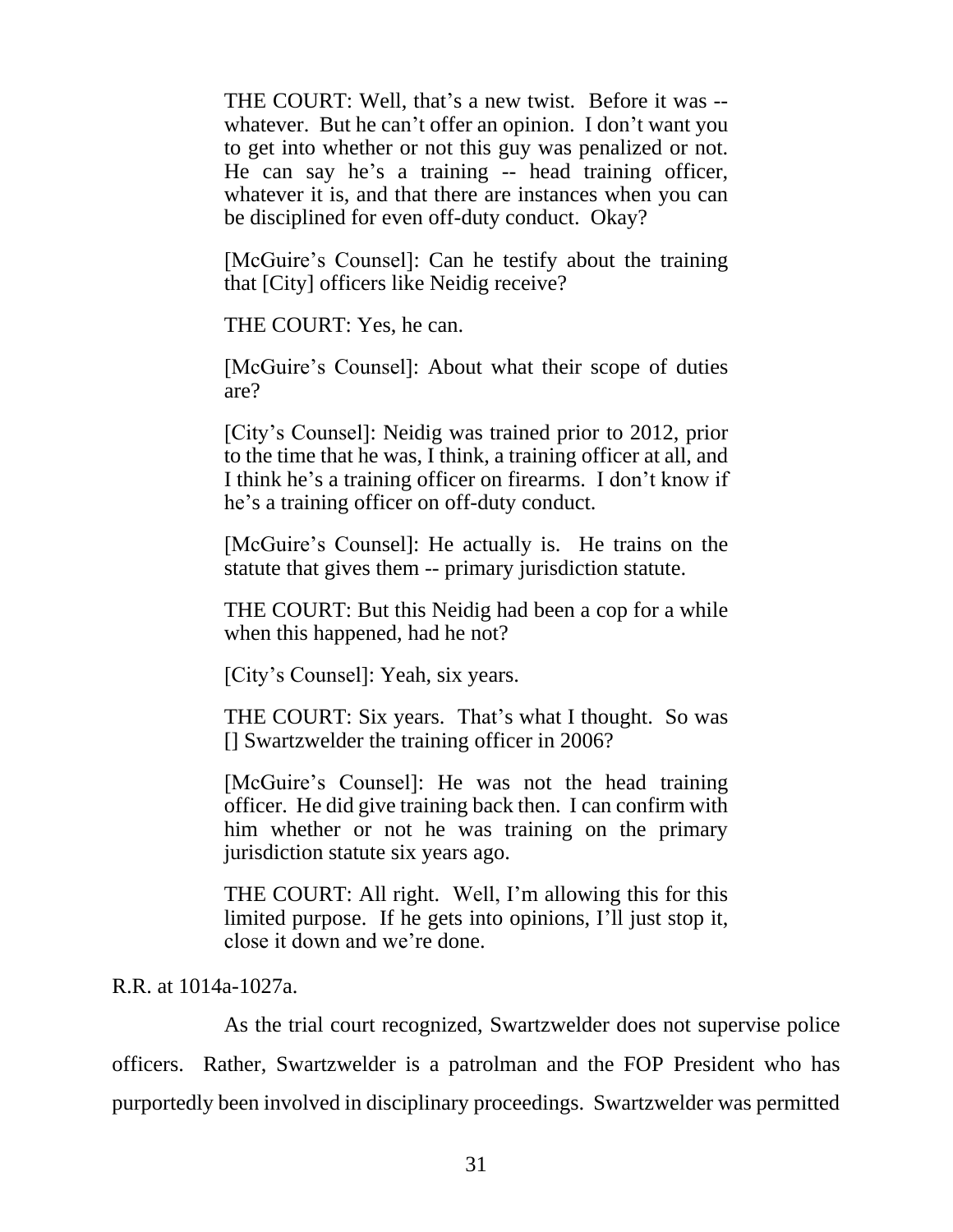THE COURT: Well, that's a new twist. Before it was - whatever. But he can't offer an opinion. I don't want you to get into whether or not this guy was penalized or not. He can say he's a training -- head training officer, whatever it is, and that there are instances when you can be disciplined for even off-duty conduct. Okay?

[McGuire's Counsel]: Can he testify about the training that [City] officers like Neidig receive?

THE COURT: Yes, he can.

[McGuire's Counsel]: About what their scope of duties are?

[City's Counsel]: Neidig was trained prior to 2012, prior to the time that he was, I think, a training officer at all, and I think he's a training officer on firearms. I don't know if he's a training officer on off-duty conduct.

[McGuire's Counsel]: He actually is. He trains on the statute that gives them -- primary jurisdiction statute.

THE COURT: But this Neidig had been a cop for a while when this happened, had he not?

[City's Counsel]: Yeah, six years.

THE COURT: Six years. That's what I thought. So was [] Swartzwelder the training officer in 2006?

[McGuire's Counsel]: He was not the head training officer. He did give training back then. I can confirm with him whether or not he was training on the primary jurisdiction statute six years ago.

THE COURT: All right. Well, I'm allowing this for this limited purpose. If he gets into opinions, I'll just stop it, close it down and we're done.

# R.R. at 1014a-1027a.

As the trial court recognized, Swartzwelder does not supervise police officers. Rather, Swartzwelder is a patrolman and the FOP President who has purportedly been involved in disciplinary proceedings. Swartzwelder was permitted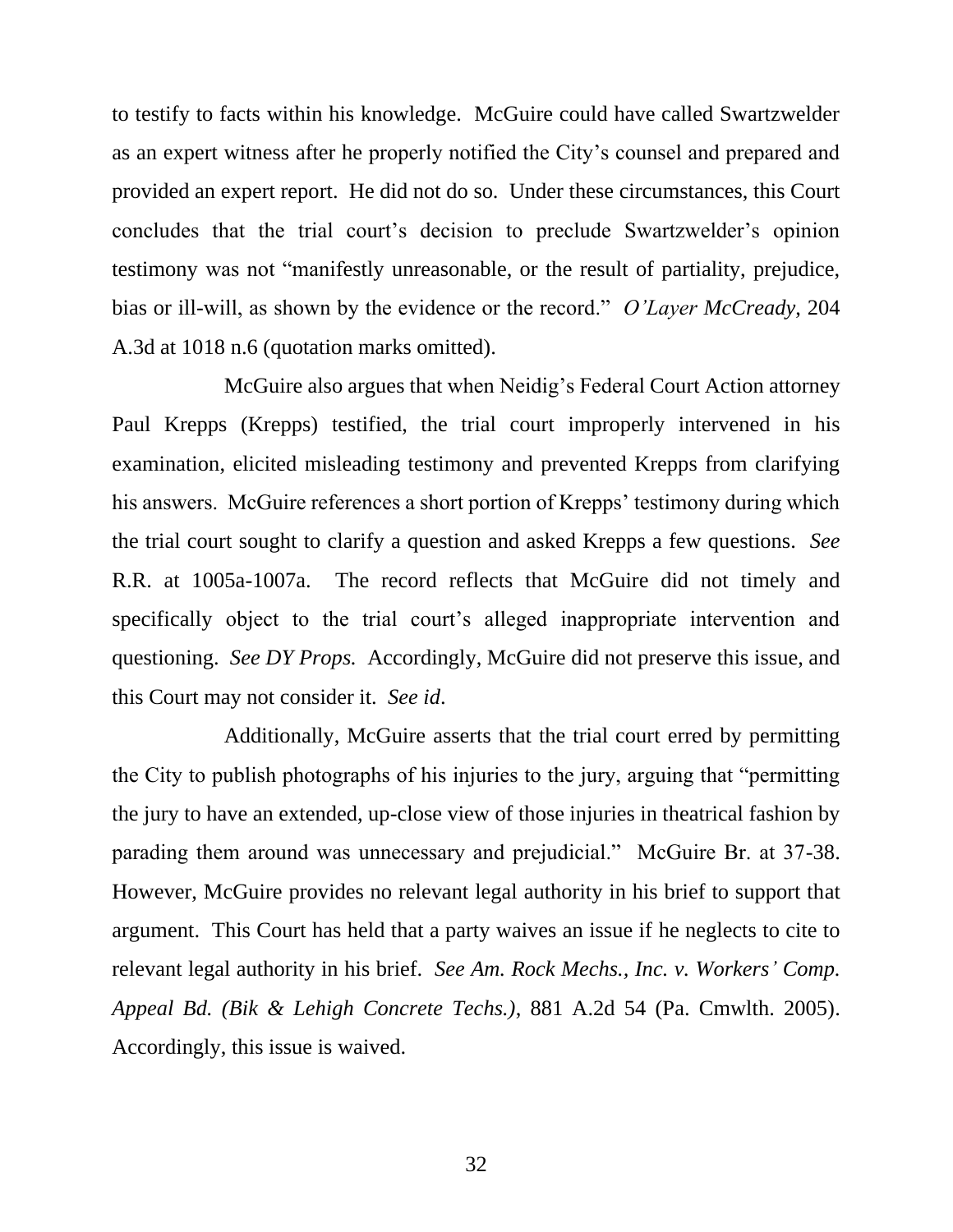to testify to facts within his knowledge. McGuire could have called Swartzwelder as an expert witness after he properly notified the City's counsel and prepared and provided an expert report. He did not do so. Under these circumstances, this Court concludes that the trial court's decision to preclude Swartzwelder's opinion testimony was not "manifestly unreasonable, or the result of partiality, prejudice, bias or ill-will, as shown by the evidence or the record." *O'Layer McCready*, 204 A.3d at 1018 n.6 (quotation marks omitted).

McGuire also argues that when Neidig's Federal Court Action attorney Paul Krepps (Krepps) testified, the trial court improperly intervened in his examination, elicited misleading testimony and prevented Krepps from clarifying his answers. McGuire references a short portion of Krepps' testimony during which the trial court sought to clarify a question and asked Krepps a few questions. *See* R.R. at 1005a-1007a. The record reflects that McGuire did not timely and specifically object to the trial court's alleged inappropriate intervention and questioning. *See DY Props.* Accordingly, McGuire did not preserve this issue, and this Court may not consider it. *See id*.

Additionally, McGuire asserts that the trial court erred by permitting the City to publish photographs of his injuries to the jury, arguing that "permitting the jury to have an extended, up-close view of those injuries in theatrical fashion by parading them around was unnecessary and prejudicial." McGuire Br. at 37-38. However, McGuire provides no relevant legal authority in his brief to support that argument. This Court has held that a party waives an issue if he neglects to cite to relevant legal authority in his brief. *See Am. Rock Mechs., Inc. v. Workers' Comp. Appeal Bd. (Bik & Lehigh Concrete Techs.)*, 881 A.2d 54 (Pa. Cmwlth. 2005). Accordingly, this issue is waived.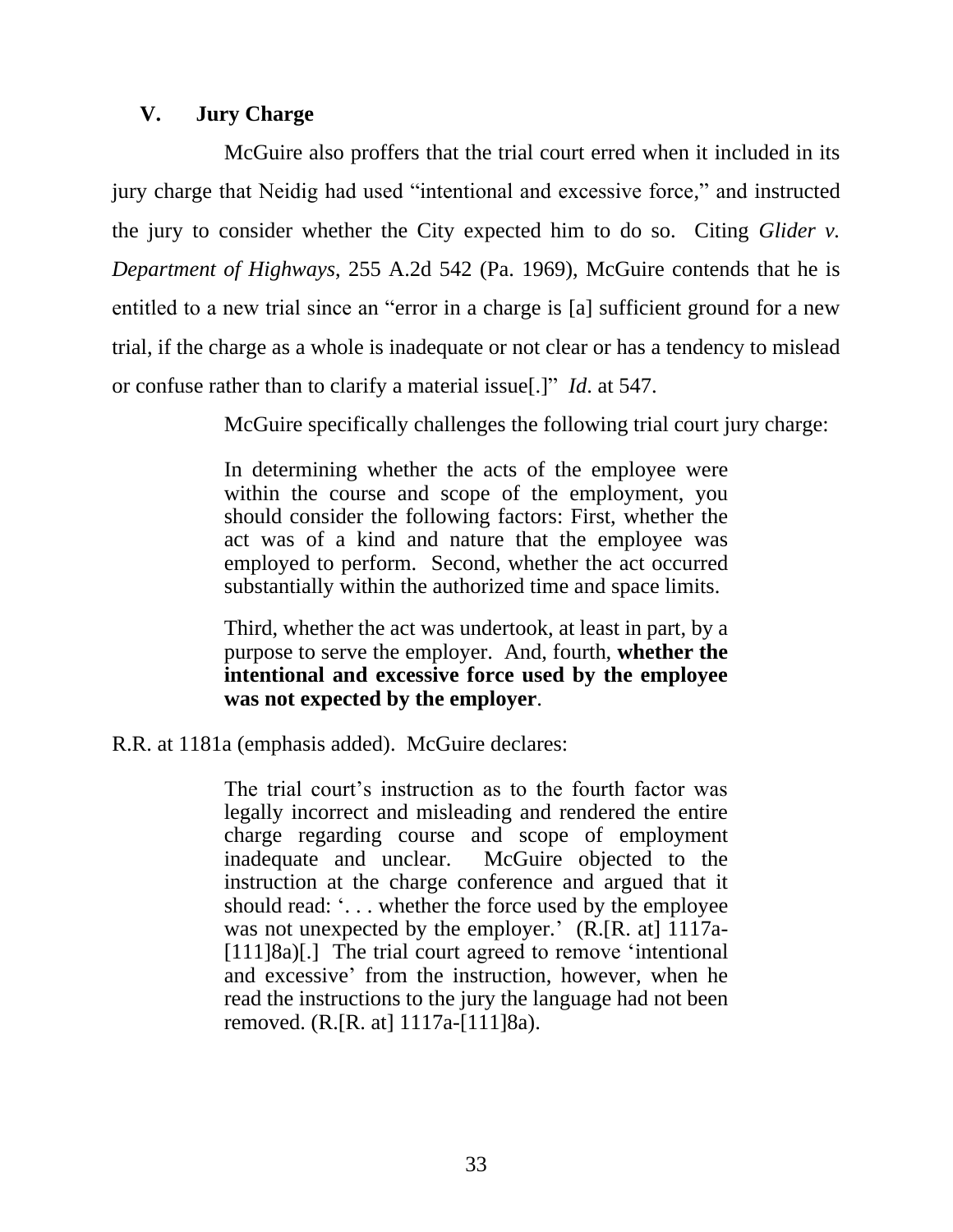# **V. Jury Charge**

McGuire also proffers that the trial court erred when it included in its jury charge that Neidig had used "intentional and excessive force," and instructed the jury to consider whether the City expected him to do so. Citing *Glider v. Department of Highways*, 255 A.2d 542 (Pa. 1969), McGuire contends that he is entitled to a new trial since an "error in a charge is [a] sufficient ground for a new trial, if the charge as a whole is inadequate or not clear or has a tendency to mislead or confuse rather than to clarify a material issue[.]" *Id*. at 547.

McGuire specifically challenges the following trial court jury charge:

In determining whether the acts of the employee were within the course and scope of the employment, you should consider the following factors: First, whether the act was of a kind and nature that the employee was employed to perform. Second, whether the act occurred substantially within the authorized time and space limits.

Third, whether the act was undertook, at least in part, by a purpose to serve the employer. And, fourth, **whether the intentional and excessive force used by the employee was not expected by the employer**.

R.R. at 1181a (emphasis added). McGuire declares:

The trial court's instruction as to the fourth factor was legally incorrect and misleading and rendered the entire charge regarding course and scope of employment inadequate and unclear. McGuire objected to the instruction at the charge conference and argued that it should read: '... whether the force used by the employee was not unexpected by the employer.' (R.[R. at] 1117a-[111]8a)[.] The trial court agreed to remove 'intentional and excessive' from the instruction, however, when he read the instructions to the jury the language had not been removed. (R.[R. at] 1117a-[111]8a).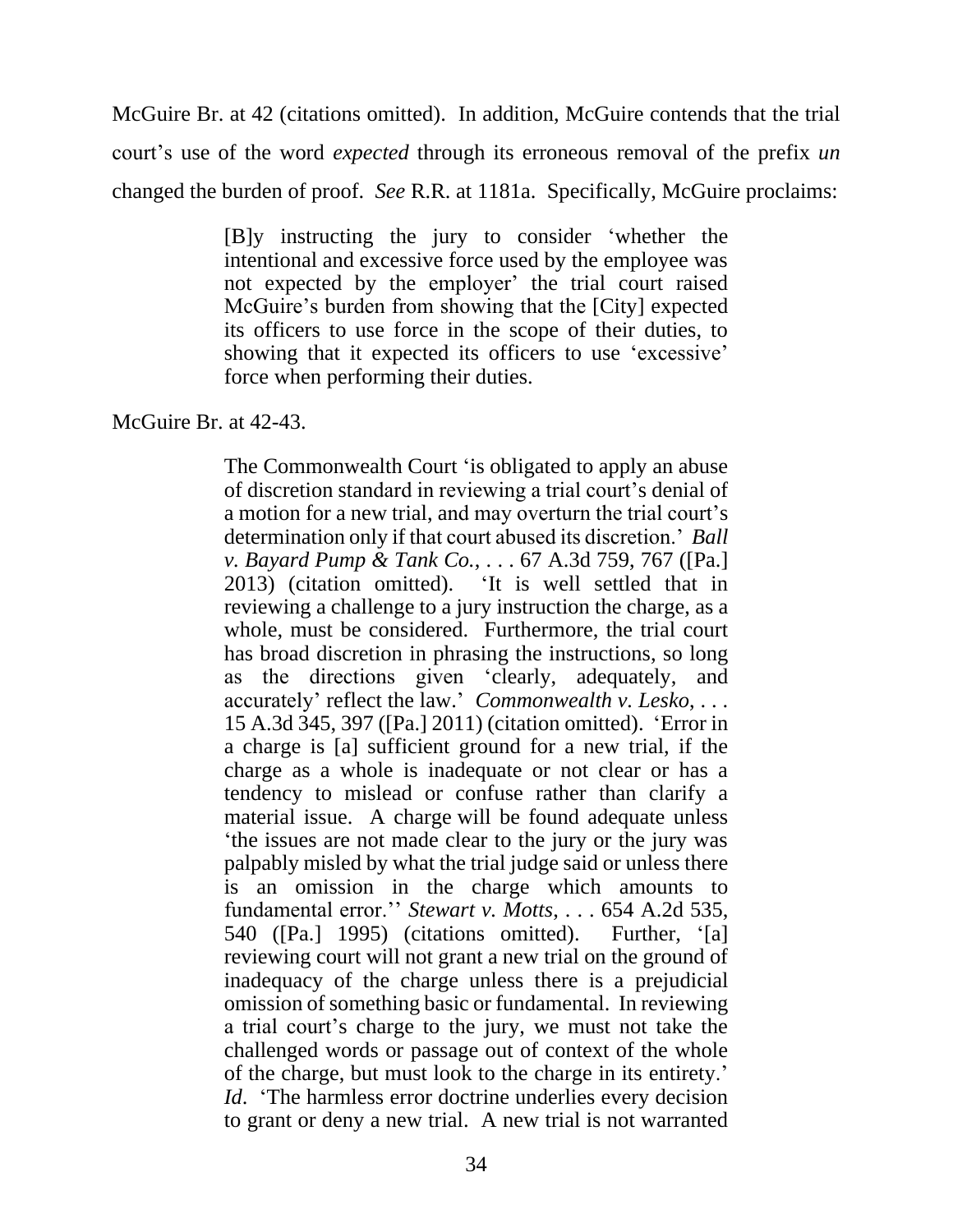McGuire Br. at 42 (citations omitted). In addition, McGuire contends that the trial court's use of the word *expected* through its erroneous removal of the prefix *un* changed the burden of proof. *See* R.R. at 1181a. Specifically, McGuire proclaims:

> [B]y instructing the jury to consider 'whether the intentional and excessive force used by the employee was not expected by the employer' the trial court raised McGuire's burden from showing that the [City] expected its officers to use force in the scope of their duties, to showing that it expected its officers to use 'excessive' force when performing their duties.

McGuire Br. at 42-43.

The Commonwealth Court 'is obligated to apply an abuse of discretion standard in reviewing a trial court's denial of a motion for a new trial, and may overturn the trial court's determination only if that court abused its discretion.' *Ball v. Bayard Pump & Tank Co.*, . . . 67 A.3d 759, 767 ([Pa.] 2013) (citation omitted). 'It is well settled that in reviewing a challenge to a jury instruction the charge, as a whole, must be considered. Furthermore, the trial court has broad discretion in phrasing the instructions, so long as the directions given 'clearly, adequately, and accurately' reflect the law.' *Commonwealth v. Lesko*, . . . 15 A.3d 345, 397 ([Pa.] 2011) (citation omitted). 'Error in a charge is [a] sufficient ground for a new trial, if the charge as a whole is inadequate or not clear or has a tendency to mislead or confuse rather than clarify a material issue. A charge will be found adequate unless 'the issues are not made clear to the jury or the jury was palpably misled by what the trial judge said or unless there is an omission in the charge which amounts to fundamental error.'' *Stewart v. Motts*, . . . 654 A.2d 535, 540 ([Pa.] 1995) (citations omitted). Further, '[a] reviewing court will not grant a new trial on the ground of inadequacy of the charge unless there is a prejudicial omission of something basic or fundamental. In reviewing a trial court's charge to the jury, we must not take the challenged words or passage out of context of the whole of the charge, but must look to the charge in its entirety.' *Id.* 'The harmless error doctrine underlies every decision to grant or deny a new trial. A new trial is not warranted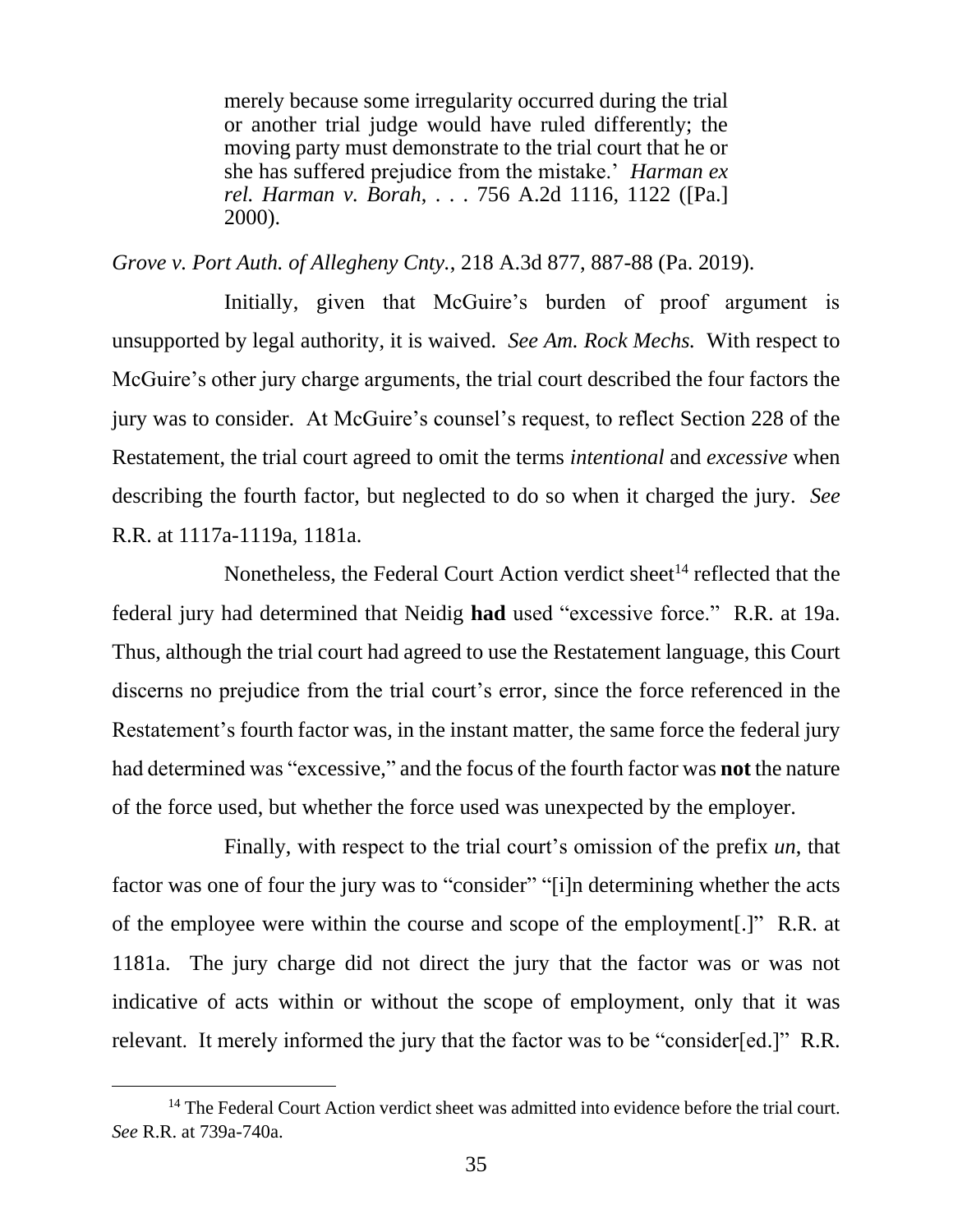merely because some irregularity occurred during the trial or another trial judge would have ruled differently; the moving party must demonstrate to the trial court that he or she has suffered prejudice from the mistake.' *Harman ex rel. Harman v. Borah*, . . . 756 A.2d 1116, 1122 ([Pa.] 2000).

*Grove v. Port Auth. of Allegheny Cnty.*, 218 A.3d 877, 887-88 (Pa. 2019).

Initially, given that McGuire's burden of proof argument is unsupported by legal authority, it is waived. *See Am. Rock Mechs.* With respect to McGuire's other jury charge arguments, the trial court described the four factors the jury was to consider. At McGuire's counsel's request, to reflect Section 228 of the Restatement, the trial court agreed to omit the terms *intentional* and *excessive* when describing the fourth factor, but neglected to do so when it charged the jury. *See* R.R. at 1117a-1119a, 1181a.

Nonetheless, the Federal Court Action verdict sheet<sup>14</sup> reflected that the federal jury had determined that Neidig **had** used "excessive force." R.R. at 19a. Thus, although the trial court had agreed to use the Restatement language, this Court discerns no prejudice from the trial court's error, since the force referenced in the Restatement's fourth factor was, in the instant matter, the same force the federal jury had determined was "excessive," and the focus of the fourth factor was **not** the nature of the force used, but whether the force used was unexpected by the employer.

Finally, with respect to the trial court's omission of the prefix *un*, that factor was one of four the jury was to "consider" "[i]n determining whether the acts of the employee were within the course and scope of the employment[.]" R.R. at 1181a. The jury charge did not direct the jury that the factor was or was not indicative of acts within or without the scope of employment, only that it was relevant. It merely informed the jury that the factor was to be "consider[ed.]" R.R.

 $14$  The Federal Court Action verdict sheet was admitted into evidence before the trial court. *See* R.R. at 739a-740a.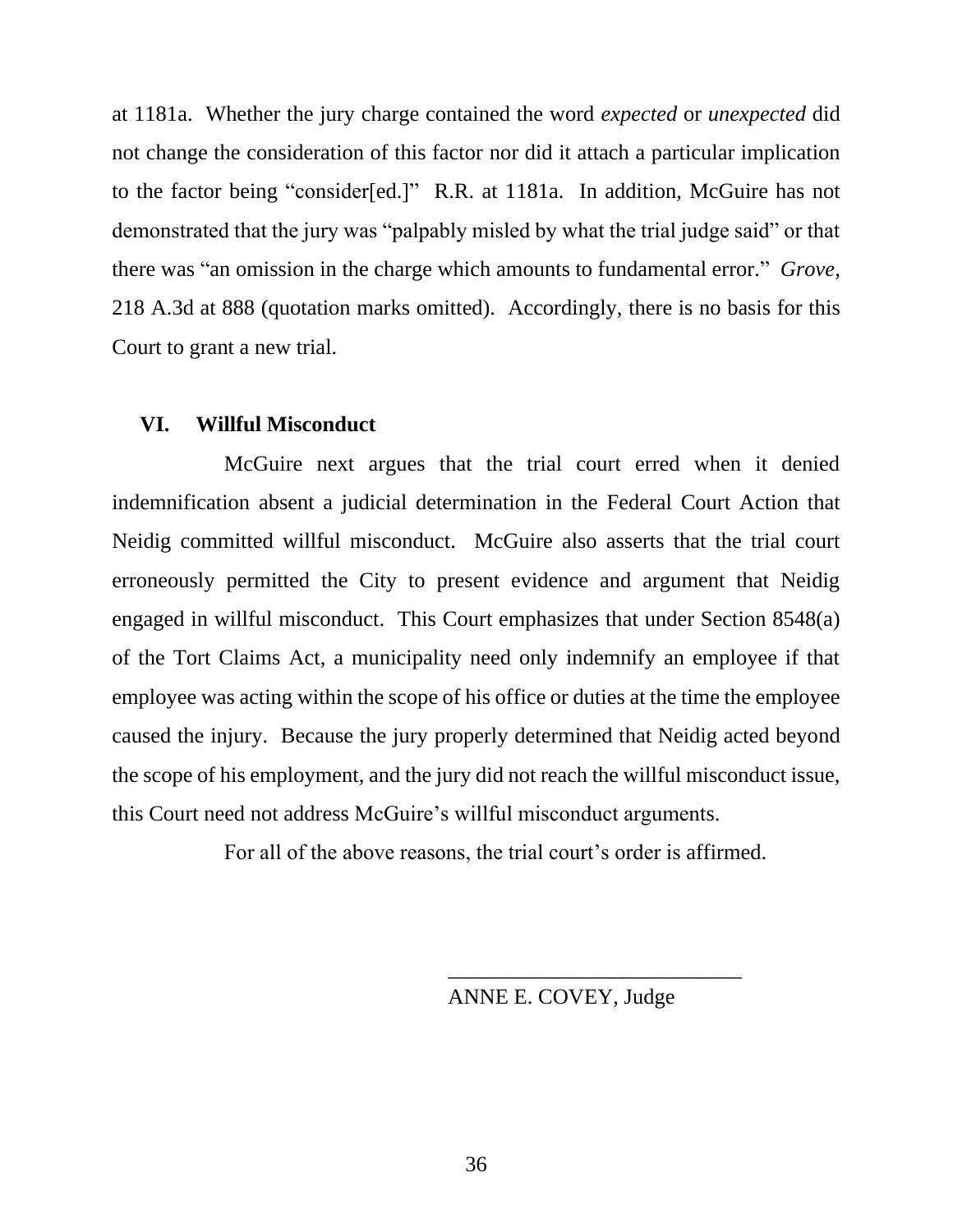at 1181a. Whether the jury charge contained the word *expected* or *unexpected* did not change the consideration of this factor nor did it attach a particular implication to the factor being "consider[ed.]" R.R. at 1181a. In addition, McGuire has not demonstrated that the jury was "palpably misled by what the trial judge said" or that there was "an omission in the charge which amounts to fundamental error." *Grove*, 218 A.3d at 888 (quotation marks omitted). Accordingly, there is no basis for this Court to grant a new trial.

#### **VI. Willful Misconduct**

McGuire next argues that the trial court erred when it denied indemnification absent a judicial determination in the Federal Court Action that Neidig committed willful misconduct. McGuire also asserts that the trial court erroneously permitted the City to present evidence and argument that Neidig engaged in willful misconduct. This Court emphasizes that under Section 8548(a) of the Tort Claims Act, a municipality need only indemnify an employee if that employee was acting within the scope of his office or duties at the time the employee caused the injury.Because the jury properly determined that Neidig acted beyond the scope of his employment, and the jury did not reach the willful misconduct issue, this Court need not address McGuire's willful misconduct arguments.

For all of the above reasons, the trial court's order is affirmed.

ANNE E. COVEY, Judge

\_\_\_\_\_\_\_\_\_\_\_\_\_\_\_\_\_\_\_\_\_\_\_\_\_\_\_